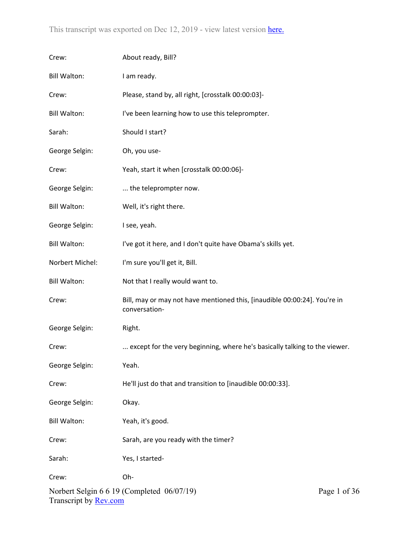| Crew:                        | About ready, Bill?                                                                         |
|------------------------------|--------------------------------------------------------------------------------------------|
| <b>Bill Walton:</b>          | I am ready.                                                                                |
| Crew:                        | Please, stand by, all right, [crosstalk 00:00:03]-                                         |
| <b>Bill Walton:</b>          | I've been learning how to use this teleprompter.                                           |
| Sarah:                       | Should I start?                                                                            |
| George Selgin:               | Oh, you use-                                                                               |
| Crew:                        | Yeah, start it when [crosstalk 00:00:06]-                                                  |
| George Selgin:               | the teleprompter now.                                                                      |
| <b>Bill Walton:</b>          | Well, it's right there.                                                                    |
| George Selgin:               | I see, yeah.                                                                               |
| <b>Bill Walton:</b>          | I've got it here, and I don't quite have Obama's skills yet.                               |
| Norbert Michel:              | I'm sure you'll get it, Bill.                                                              |
| <b>Bill Walton:</b>          | Not that I really would want to.                                                           |
| Crew:                        | Bill, may or may not have mentioned this, [inaudible 00:00:24]. You're in<br>conversation- |
| George Selgin:               | Right.                                                                                     |
| Crew:                        | except for the very beginning, where he's basically talking to the viewer.                 |
| George Selgin:               | Yeah.                                                                                      |
| Crew:                        | He'll just do that and transition to [inaudible 00:00:33].                                 |
| George Selgin:               | Okay.                                                                                      |
| <b>Bill Walton:</b>          | Yeah, it's good.                                                                           |
| Crew:                        | Sarah, are you ready with the timer?                                                       |
| Sarah:                       | Yes, I started-                                                                            |
| Crew:                        | Oh-                                                                                        |
| Transcript by <b>Rev.com</b> | Norbert Selgin 6 6 19 (Completed 06/07/19)<br>Page 1 of 3                                  |

36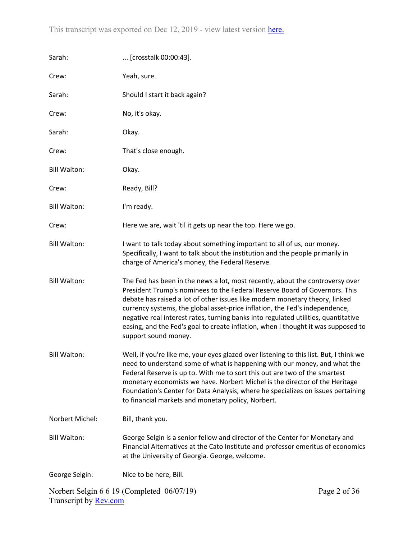| Sarah:                       | [crosstalk 00:00:43].                                                                                                                                                                                                                                                                                                                                                                                                                                                                                                        |              |
|------------------------------|------------------------------------------------------------------------------------------------------------------------------------------------------------------------------------------------------------------------------------------------------------------------------------------------------------------------------------------------------------------------------------------------------------------------------------------------------------------------------------------------------------------------------|--------------|
| Crew:                        | Yeah, sure.                                                                                                                                                                                                                                                                                                                                                                                                                                                                                                                  |              |
| Sarah:                       | Should I start it back again?                                                                                                                                                                                                                                                                                                                                                                                                                                                                                                |              |
| Crew:                        | No, it's okay.                                                                                                                                                                                                                                                                                                                                                                                                                                                                                                               |              |
| Sarah:                       | Okay.                                                                                                                                                                                                                                                                                                                                                                                                                                                                                                                        |              |
| Crew:                        | That's close enough.                                                                                                                                                                                                                                                                                                                                                                                                                                                                                                         |              |
| <b>Bill Walton:</b>          | Okay.                                                                                                                                                                                                                                                                                                                                                                                                                                                                                                                        |              |
| Crew:                        | Ready, Bill?                                                                                                                                                                                                                                                                                                                                                                                                                                                                                                                 |              |
| <b>Bill Walton:</b>          | I'm ready.                                                                                                                                                                                                                                                                                                                                                                                                                                                                                                                   |              |
| Crew:                        | Here we are, wait 'til it gets up near the top. Here we go.                                                                                                                                                                                                                                                                                                                                                                                                                                                                  |              |
| <b>Bill Walton:</b>          | I want to talk today about something important to all of us, our money.<br>Specifically, I want to talk about the institution and the people primarily in<br>charge of America's money, the Federal Reserve.                                                                                                                                                                                                                                                                                                                 |              |
| <b>Bill Walton:</b>          | The Fed has been in the news a lot, most recently, about the controversy over<br>President Trump's nominees to the Federal Reserve Board of Governors. This<br>debate has raised a lot of other issues like modern monetary theory, linked<br>currency systems, the global asset-price inflation, the Fed's independence,<br>negative real interest rates, turning banks into regulated utilities, quantitative<br>easing, and the Fed's goal to create inflation, when I thought it was supposed to<br>support sound money. |              |
| <b>Bill Walton:</b>          | Well, if you're like me, your eyes glazed over listening to this list. But, I think we<br>need to understand some of what is happening with our money, and what the<br>Federal Reserve is up to. With me to sort this out are two of the smartest<br>monetary economists we have. Norbert Michel is the director of the Heritage<br>Foundation's Center for Data Analysis, where he specializes on issues pertaining<br>to financial markets and monetary policy, Norbert.                                                   |              |
| Norbert Michel:              | Bill, thank you.                                                                                                                                                                                                                                                                                                                                                                                                                                                                                                             |              |
| <b>Bill Walton:</b>          | George Selgin is a senior fellow and director of the Center for Monetary and<br>Financial Alternatives at the Cato Institute and professor emeritus of economics<br>at the University of Georgia. George, welcome.                                                                                                                                                                                                                                                                                                           |              |
| George Selgin:               | Nice to be here, Bill.                                                                                                                                                                                                                                                                                                                                                                                                                                                                                                       |              |
| Transcript by <b>Rev.com</b> | Norbert Selgin 6 6 19 (Completed 06/07/19)                                                                                                                                                                                                                                                                                                                                                                                                                                                                                   | Page 2 of 36 |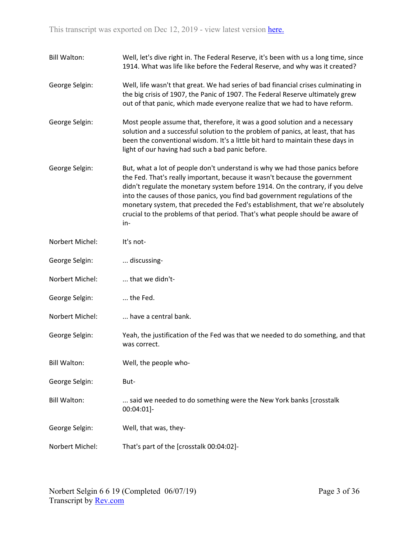| <b>Bill Walton:</b> | Well, let's dive right in. The Federal Reserve, it's been with us a long time, since<br>1914. What was life like before the Federal Reserve, and why was it created?                                                                                                                                                                                                                                                                                                                                 |
|---------------------|------------------------------------------------------------------------------------------------------------------------------------------------------------------------------------------------------------------------------------------------------------------------------------------------------------------------------------------------------------------------------------------------------------------------------------------------------------------------------------------------------|
| George Selgin:      | Well, life wasn't that great. We had series of bad financial crises culminating in<br>the big crisis of 1907, the Panic of 1907. The Federal Reserve ultimately grew<br>out of that panic, which made everyone realize that we had to have reform.                                                                                                                                                                                                                                                   |
| George Selgin:      | Most people assume that, therefore, it was a good solution and a necessary<br>solution and a successful solution to the problem of panics, at least, that has<br>been the conventional wisdom. It's a little bit hard to maintain these days in<br>light of our having had such a bad panic before.                                                                                                                                                                                                  |
| George Selgin:      | But, what a lot of people don't understand is why we had those panics before<br>the Fed. That's really important, because it wasn't because the government<br>didn't regulate the monetary system before 1914. On the contrary, if you delve<br>into the causes of those panics, you find bad government regulations of the<br>monetary system, that preceded the Fed's establishment, that we're absolutely<br>crucial to the problems of that period. That's what people should be aware of<br>in- |
| Norbert Michel:     | It's not-                                                                                                                                                                                                                                                                                                                                                                                                                                                                                            |
| George Selgin:      | discussing-                                                                                                                                                                                                                                                                                                                                                                                                                                                                                          |
| Norbert Michel:     | that we didn't-                                                                                                                                                                                                                                                                                                                                                                                                                                                                                      |
| George Selgin:      | the Fed.                                                                                                                                                                                                                                                                                                                                                                                                                                                                                             |
| Norbert Michel:     | have a central bank.                                                                                                                                                                                                                                                                                                                                                                                                                                                                                 |
| George Selgin:      | Yeah, the justification of the Fed was that we needed to do something, and that<br>was correct.                                                                                                                                                                                                                                                                                                                                                                                                      |
| <b>Bill Walton:</b> | Well, the people who-                                                                                                                                                                                                                                                                                                                                                                                                                                                                                |
| George Selgin:      | But-                                                                                                                                                                                                                                                                                                                                                                                                                                                                                                 |
| <b>Bill Walton:</b> | said we needed to do something were the New York banks [crosstalk]<br>00:04:01]-                                                                                                                                                                                                                                                                                                                                                                                                                     |
| George Selgin:      | Well, that was, they-                                                                                                                                                                                                                                                                                                                                                                                                                                                                                |
| Norbert Michel:     | That's part of the [crosstalk 00:04:02]-                                                                                                                                                                                                                                                                                                                                                                                                                                                             |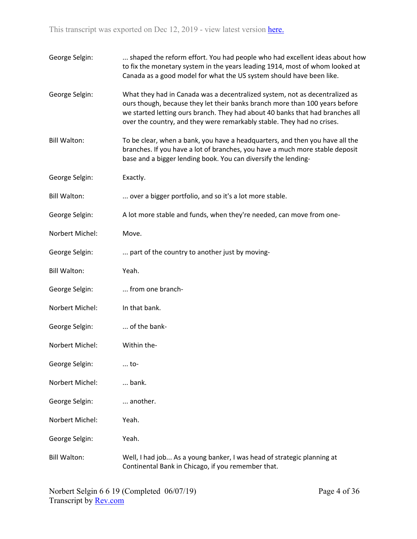| George Selgin:      | shaped the reform effort. You had people who had excellent ideas about how<br>to fix the monetary system in the years leading 1914, most of whom looked at<br>Canada as a good model for what the US system should have been like.                                                                                    |
|---------------------|-----------------------------------------------------------------------------------------------------------------------------------------------------------------------------------------------------------------------------------------------------------------------------------------------------------------------|
| George Selgin:      | What they had in Canada was a decentralized system, not as decentralized as<br>ours though, because they let their banks branch more than 100 years before<br>we started letting ours branch. They had about 40 banks that had branches all<br>over the country, and they were remarkably stable. They had no crises. |
| <b>Bill Walton:</b> | To be clear, when a bank, you have a headquarters, and then you have all the<br>branches. If you have a lot of branches, you have a much more stable deposit<br>base and a bigger lending book. You can diversify the lending-                                                                                        |
| George Selgin:      | Exactly.                                                                                                                                                                                                                                                                                                              |
| <b>Bill Walton:</b> | over a bigger portfolio, and so it's a lot more stable.                                                                                                                                                                                                                                                               |
| George Selgin:      | A lot more stable and funds, when they're needed, can move from one-                                                                                                                                                                                                                                                  |
| Norbert Michel:     | Move.                                                                                                                                                                                                                                                                                                                 |
| George Selgin:      | part of the country to another just by moving-                                                                                                                                                                                                                                                                        |
| <b>Bill Walton:</b> | Yeah.                                                                                                                                                                                                                                                                                                                 |
| George Selgin:      | from one branch-                                                                                                                                                                                                                                                                                                      |
| Norbert Michel:     | In that bank.                                                                                                                                                                                                                                                                                                         |
| George Selgin:      | of the bank-                                                                                                                                                                                                                                                                                                          |
| Norbert Michel:     | Within the-                                                                                                                                                                                                                                                                                                           |
| George Selgin:      | to-                                                                                                                                                                                                                                                                                                                   |
| Norbert Michel:     | bank.                                                                                                                                                                                                                                                                                                                 |
| George Selgin:      | another.                                                                                                                                                                                                                                                                                                              |
| Norbert Michel:     | Yeah.                                                                                                                                                                                                                                                                                                                 |
| George Selgin:      | Yeah.                                                                                                                                                                                                                                                                                                                 |
| <b>Bill Walton:</b> | Well, I had job As a young banker, I was head of strategic planning at<br>Continental Bank in Chicago, if you remember that.                                                                                                                                                                                          |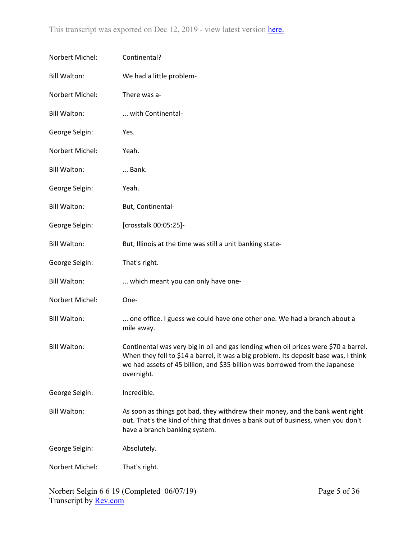| Norbert Michel:     | Continental?                                                                                                                                                                                                                                                              |
|---------------------|---------------------------------------------------------------------------------------------------------------------------------------------------------------------------------------------------------------------------------------------------------------------------|
| <b>Bill Walton:</b> | We had a little problem-                                                                                                                                                                                                                                                  |
| Norbert Michel:     | There was a-                                                                                                                                                                                                                                                              |
| <b>Bill Walton:</b> | with Continental-                                                                                                                                                                                                                                                         |
| George Selgin:      | Yes.                                                                                                                                                                                                                                                                      |
| Norbert Michel:     | Yeah.                                                                                                                                                                                                                                                                     |
| <b>Bill Walton:</b> | Bank.                                                                                                                                                                                                                                                                     |
| George Selgin:      | Yeah.                                                                                                                                                                                                                                                                     |
| <b>Bill Walton:</b> | But, Continental-                                                                                                                                                                                                                                                         |
| George Selgin:      | [crosstalk 00:05:25]-                                                                                                                                                                                                                                                     |
| <b>Bill Walton:</b> | But, Illinois at the time was still a unit banking state-                                                                                                                                                                                                                 |
| George Selgin:      | That's right.                                                                                                                                                                                                                                                             |
| <b>Bill Walton:</b> | which meant you can only have one-                                                                                                                                                                                                                                        |
| Norbert Michel:     | One-                                                                                                                                                                                                                                                                      |
| <b>Bill Walton:</b> | one office. I guess we could have one other one. We had a branch about a<br>mile away.                                                                                                                                                                                    |
| <b>Bill Walton:</b> | Continental was very big in oil and gas lending when oil prices were \$70 a barrel.<br>When they fell to \$14 a barrel, it was a big problem. Its deposit base was, I think<br>we had assets of 45 billion, and \$35 billion was borrowed from the Japanese<br>overnight. |
| George Selgin:      | Incredible.                                                                                                                                                                                                                                                               |
| <b>Bill Walton:</b> | As soon as things got bad, they withdrew their money, and the bank went right<br>out. That's the kind of thing that drives a bank out of business, when you don't<br>have a branch banking system.                                                                        |
| George Selgin:      | Absolutely.                                                                                                                                                                                                                                                               |
| Norbert Michel:     | That's right.                                                                                                                                                                                                                                                             |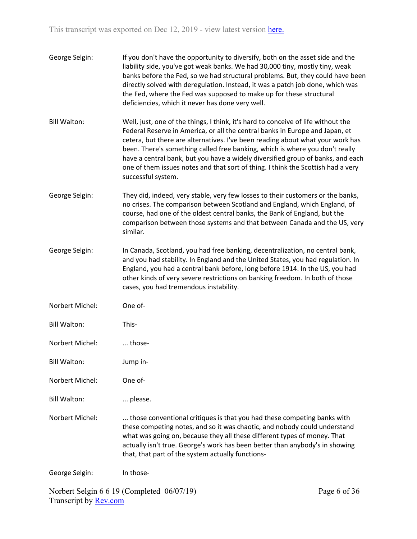| George Selgin: | If you don't have the opportunity to diversify, both on the asset side and the |
|----------------|--------------------------------------------------------------------------------|
|                | liability side, you've got weak banks. We had 30,000 tiny, mostly tiny, weak   |
|                | banks before the Fed, so we had structural problems. But, they could have been |
|                | directly solved with deregulation. Instead, it was a patch job done, which was |
|                | the Fed, where the Fed was supposed to make up for these structural            |
|                | deficiencies, which it never has done very well.                               |

- Bill Walton: Well, just, one of the things, I think, it's hard to conceive of life without the Federal Reserve in America, or all the central banks in Europe and Japan, et cetera, but there are alternatives. I've been reading about what your work has been. There's something called free banking, which is where you don't really have a central bank, but you have a widely diversified group of banks, and each one of them issues notes and that sort of thing. I think the Scottish had a very successful system.
- George Selgin: They did, indeed, very stable, very few losses to their customers or the banks, no crises. The comparison between Scotland and England, which England, of course, had one of the oldest central banks, the Bank of England, but the comparison between those systems and that between Canada and the US, very similar.
- George Selgin: In Canada, Scotland, you had free banking, decentralization, no central bank, and you had stability. In England and the United States, you had regulation. In England, you had a central bank before, long before 1914. In the US, you had other kinds of very severe restrictions on banking freedom. In both of those cases, you had tremendous instability.
- Norbert Michel: One of-
- Bill Walton: This-
- Norbert Michel: ... those-
- Bill Walton: Jump in-
- Norbert Michel: One of-
- Bill Walton: ... please.

Norbert Michel: ... those conventional critiques is that you had these competing banks with these competing notes, and so it was chaotic, and nobody could understand what was going on, because they all these different types of money. That actually isn't true. George's work has been better than anybody's in showing that, that part of the system actually functions-

George Selgin: In those-

Norbert Selgin 6 6 19 (Completed 06/07/19) Transcript by [Rev.com](https://www.rev.com/)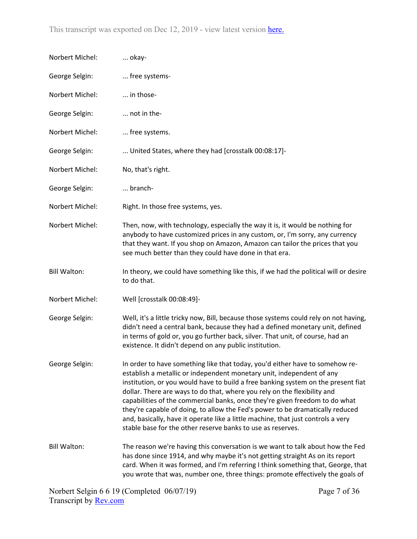| Norbert Michel:     | okay-                                                                                                                                                                                                                                                                                                                                                                                                                                                                                                                                                                                                                                     |
|---------------------|-------------------------------------------------------------------------------------------------------------------------------------------------------------------------------------------------------------------------------------------------------------------------------------------------------------------------------------------------------------------------------------------------------------------------------------------------------------------------------------------------------------------------------------------------------------------------------------------------------------------------------------------|
| George Selgin:      | free systems-                                                                                                                                                                                                                                                                                                                                                                                                                                                                                                                                                                                                                             |
| Norbert Michel:     | in those-                                                                                                                                                                                                                                                                                                                                                                                                                                                                                                                                                                                                                                 |
| George Selgin:      | not in the-                                                                                                                                                                                                                                                                                                                                                                                                                                                                                                                                                                                                                               |
| Norbert Michel:     | free systems.                                                                                                                                                                                                                                                                                                                                                                                                                                                                                                                                                                                                                             |
| George Selgin:      | United States, where they had [crosstalk 00:08:17]-                                                                                                                                                                                                                                                                                                                                                                                                                                                                                                                                                                                       |
| Norbert Michel:     | No, that's right.                                                                                                                                                                                                                                                                                                                                                                                                                                                                                                                                                                                                                         |
| George Selgin:      | branch-                                                                                                                                                                                                                                                                                                                                                                                                                                                                                                                                                                                                                                   |
| Norbert Michel:     | Right. In those free systems, yes.                                                                                                                                                                                                                                                                                                                                                                                                                                                                                                                                                                                                        |
| Norbert Michel:     | Then, now, with technology, especially the way it is, it would be nothing for<br>anybody to have customized prices in any custom, or, I'm sorry, any currency<br>that they want. If you shop on Amazon, Amazon can tailor the prices that you<br>see much better than they could have done in that era.                                                                                                                                                                                                                                                                                                                                   |
| <b>Bill Walton:</b> | In theory, we could have something like this, if we had the political will or desire<br>to do that.                                                                                                                                                                                                                                                                                                                                                                                                                                                                                                                                       |
| Norbert Michel:     | Well [crosstalk 00:08:49]-                                                                                                                                                                                                                                                                                                                                                                                                                                                                                                                                                                                                                |
| George Selgin:      | Well, it's a little tricky now, Bill, because those systems could rely on not having,<br>didn't need a central bank, because they had a defined monetary unit, defined<br>in terms of gold or, you go further back, silver. That unit, of course, had an<br>existence. It didn't depend on any public institution.                                                                                                                                                                                                                                                                                                                        |
| George Selgin:      | In order to have something like that today, you'd either have to somehow re-<br>establish a metallic or independent monetary unit, independent of any<br>institution, or you would have to build a free banking system on the present fiat<br>dollar. There are ways to do that, where you rely on the flexibility and<br>capabilities of the commercial banks, once they're given freedom to do what<br>they're capable of doing, to allow the Fed's power to be dramatically reduced<br>and, basically, have it operate like a little machine, that just controls a very<br>stable base for the other reserve banks to use as reserves. |
| <b>Bill Walton:</b> | The reason we're having this conversation is we want to talk about how the Fed<br>has done since 1914, and why maybe it's not getting straight As on its report<br>card. When it was formed, and I'm referring I think something that, George, that<br>you wrote that was, number one, three things: promote effectively the goals of                                                                                                                                                                                                                                                                                                     |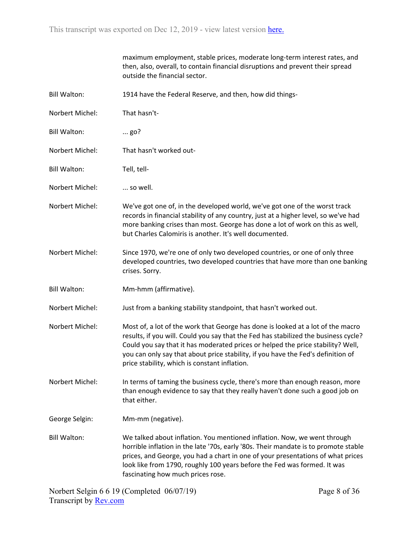|                     | maximum employment, stable prices, moderate long-term interest rates, and<br>then, also, overall, to contain financial disruptions and prevent their spread<br>outside the financial sector.                                                                                                                                                                                                   |
|---------------------|------------------------------------------------------------------------------------------------------------------------------------------------------------------------------------------------------------------------------------------------------------------------------------------------------------------------------------------------------------------------------------------------|
| <b>Bill Walton:</b> | 1914 have the Federal Reserve, and then, how did things-                                                                                                                                                                                                                                                                                                                                       |
| Norbert Michel:     | That hasn't-                                                                                                                                                                                                                                                                                                                                                                                   |
| <b>Bill Walton:</b> | $\ldots$ go?                                                                                                                                                                                                                                                                                                                                                                                   |
| Norbert Michel:     | That hasn't worked out-                                                                                                                                                                                                                                                                                                                                                                        |
| <b>Bill Walton:</b> | Tell, tell-                                                                                                                                                                                                                                                                                                                                                                                    |
| Norbert Michel:     | so well.                                                                                                                                                                                                                                                                                                                                                                                       |
| Norbert Michel:     | We've got one of, in the developed world, we've got one of the worst track<br>records in financial stability of any country, just at a higher level, so we've had<br>more banking crises than most. George has done a lot of work on this as well,<br>but Charles Calomiris is another. It's well documented.                                                                                  |
| Norbert Michel:     | Since 1970, we're one of only two developed countries, or one of only three<br>developed countries, two developed countries that have more than one banking<br>crises. Sorry.                                                                                                                                                                                                                  |
| <b>Bill Walton:</b> | Mm-hmm (affirmative).                                                                                                                                                                                                                                                                                                                                                                          |
| Norbert Michel:     | Just from a banking stability standpoint, that hasn't worked out.                                                                                                                                                                                                                                                                                                                              |
| Norbert Michel:     | Most of, a lot of the work that George has done is looked at a lot of the macro<br>results, if you will. Could you say that the Fed has stabilized the business cycle?<br>Could you say that it has moderated prices or helped the price stability? Well,<br>you can only say that about price stability, if you have the Fed's definition of<br>price stability, which is constant inflation. |
| Norbert Michel:     | In terms of taming the business cycle, there's more than enough reason, more<br>than enough evidence to say that they really haven't done such a good job on<br>that either.                                                                                                                                                                                                                   |
| George Selgin:      | Mm-mm (negative).                                                                                                                                                                                                                                                                                                                                                                              |
| <b>Bill Walton:</b> | We talked about inflation. You mentioned inflation. Now, we went through<br>horrible inflation in the late '70s, early '80s. Their mandate is to promote stable<br>prices, and George, you had a chart in one of your presentations of what prices<br>look like from 1790, roughly 100 years before the Fed was formed. It was<br>fascinating how much prices rose.                            |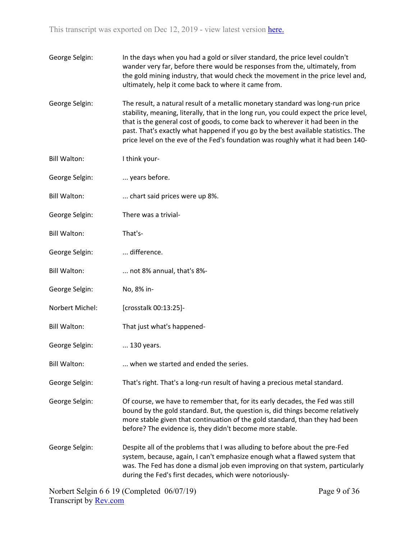| George Selgin: | In the days when you had a gold or silver standard, the price level couldn't    |
|----------------|---------------------------------------------------------------------------------|
|                | wander very far, before there would be responses from the, ultimately, from     |
|                | the gold mining industry, that would check the movement in the price level and, |
|                | ultimately, help it come back to where it came from.                            |

George Selgin: The result, a natural result of a metallic monetary standard was long-run price stability, meaning, literally, that in the long run, you could expect the price level, that is the general cost of goods, to come back to wherever it had been in the past. That's exactly what happened if you go by the best available statistics. The price level on the eve of the Fed's foundation was roughly what it had been 140-

- Bill Walton: I think your-
- George Selgin: ... years before.
- Bill Walton: ... chart said prices were up 8%.
- George Selgin: There was a trivial-
- Bill Walton: That's-
- George Selgin: ... difference.
- Bill Walton: ... not 8% annual, that's 8%-
- George Selgin: No, 8% in-
- Norbert Michel: [crosstalk 00:13:25]-
- Bill Walton: That just what's happened-
- George Selgin: ... 130 years.
- Bill Walton: ... when we started and ended the series.
- George Selgin: That's right. That's a long-run result of having a precious metal standard.
- George Selgin: Of course, we have to remember that, for its early decades, the Fed was still bound by the gold standard. But, the question is, did things become relatively more stable given that continuation of the gold standard, than they had been before? The evidence is, they didn't become more stable.
- George Selgin: Despite all of the problems that I was alluding to before about the pre-Fed system, because, again, I can't emphasize enough what a flawed system that was. The Fed has done a dismal job even improving on that system, particularly during the Fed's first decades, which were notoriously-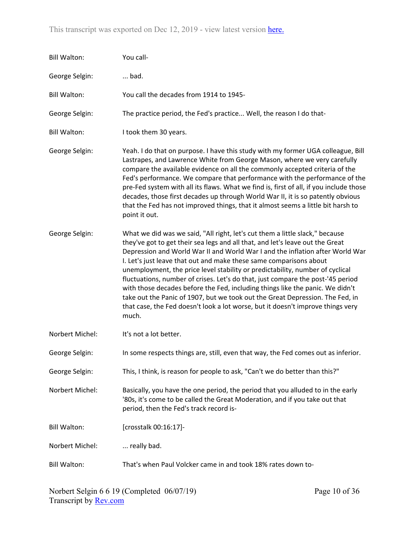| <b>Bill Walton:</b> | You call-                                                                                                                                                                                                                                                                                                                                                                                                                                                                                                                                                                                                                                                                                                                                              |
|---------------------|--------------------------------------------------------------------------------------------------------------------------------------------------------------------------------------------------------------------------------------------------------------------------------------------------------------------------------------------------------------------------------------------------------------------------------------------------------------------------------------------------------------------------------------------------------------------------------------------------------------------------------------------------------------------------------------------------------------------------------------------------------|
| George Selgin:      | bad.                                                                                                                                                                                                                                                                                                                                                                                                                                                                                                                                                                                                                                                                                                                                                   |
| <b>Bill Walton:</b> | You call the decades from 1914 to 1945-                                                                                                                                                                                                                                                                                                                                                                                                                                                                                                                                                                                                                                                                                                                |
| George Selgin:      | The practice period, the Fed's practice Well, the reason I do that-                                                                                                                                                                                                                                                                                                                                                                                                                                                                                                                                                                                                                                                                                    |
| <b>Bill Walton:</b> | I took them 30 years.                                                                                                                                                                                                                                                                                                                                                                                                                                                                                                                                                                                                                                                                                                                                  |
| George Selgin:      | Yeah. I do that on purpose. I have this study with my former UGA colleague, Bill<br>Lastrapes, and Lawrence White from George Mason, where we very carefully<br>compare the available evidence on all the commonly accepted criteria of the<br>Fed's performance. We compare that performance with the performance of the<br>pre-Fed system with all its flaws. What we find is, first of all, if you include those<br>decades, those first decades up through World War II, it is so patently obvious<br>that the Fed has not improved things, that it almost seems a little bit harsh to<br>point it out.                                                                                                                                            |
| George Selgin:      | What we did was we said, "All right, let's cut them a little slack," because<br>they've got to get their sea legs and all that, and let's leave out the Great<br>Depression and World War II and World War I and the inflation after World War<br>I. Let's just leave that out and make these same comparisons about<br>unemployment, the price level stability or predictability, number of cyclical<br>fluctuations, number of crises. Let's do that, just compare the post-'45 period<br>with those decades before the Fed, including things like the panic. We didn't<br>take out the Panic of 1907, but we took out the Great Depression. The Fed, in<br>that case, the Fed doesn't look a lot worse, but it doesn't improve things very<br>much. |
| Norbert Michel:     | It's not a lot better.                                                                                                                                                                                                                                                                                                                                                                                                                                                                                                                                                                                                                                                                                                                                 |
| George Selgin:      | In some respects things are, still, even that way, the Fed comes out as inferior.                                                                                                                                                                                                                                                                                                                                                                                                                                                                                                                                                                                                                                                                      |
| George Selgin:      | This, I think, is reason for people to ask, "Can't we do better than this?"                                                                                                                                                                                                                                                                                                                                                                                                                                                                                                                                                                                                                                                                            |
| Norbert Michel:     | Basically, you have the one period, the period that you alluded to in the early<br>'80s, it's come to be called the Great Moderation, and if you take out that<br>period, then the Fed's track record is-                                                                                                                                                                                                                                                                                                                                                                                                                                                                                                                                              |
| <b>Bill Walton:</b> | [crosstalk 00:16:17]-                                                                                                                                                                                                                                                                                                                                                                                                                                                                                                                                                                                                                                                                                                                                  |
| Norbert Michel:     | really bad.                                                                                                                                                                                                                                                                                                                                                                                                                                                                                                                                                                                                                                                                                                                                            |
| <b>Bill Walton:</b> | That's when Paul Volcker came in and took 18% rates down to-                                                                                                                                                                                                                                                                                                                                                                                                                                                                                                                                                                                                                                                                                           |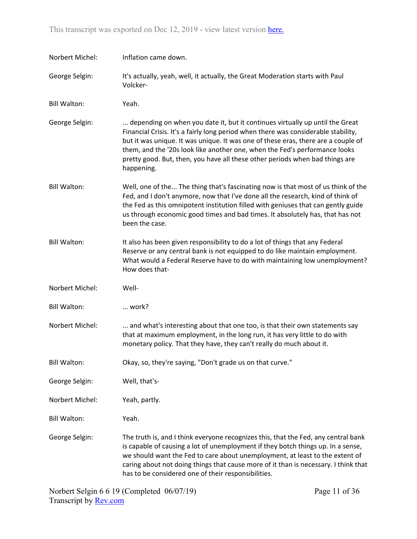| Norbert Michel:     | Inflation came down.                                                                                                                                                                                                                                                                                                                                                                                                                |
|---------------------|-------------------------------------------------------------------------------------------------------------------------------------------------------------------------------------------------------------------------------------------------------------------------------------------------------------------------------------------------------------------------------------------------------------------------------------|
| George Selgin:      | It's actually, yeah, well, it actually, the Great Moderation starts with Paul<br>Volcker-                                                                                                                                                                                                                                                                                                                                           |
| <b>Bill Walton:</b> | Yeah.                                                                                                                                                                                                                                                                                                                                                                                                                               |
| George Selgin:      | depending on when you date it, but it continues virtually up until the Great<br>Financial Crisis. It's a fairly long period when there was considerable stability,<br>but it was unique. It was unique. It was one of these eras, there are a couple of<br>them, and the '20s look like another one, when the Fed's performance looks<br>pretty good. But, then, you have all these other periods when bad things are<br>happening. |
| <b>Bill Walton:</b> | Well, one of the The thing that's fascinating now is that most of us think of the<br>Fed, and I don't anymore, now that I've done all the research, kind of think of<br>the Fed as this omnipotent institution filled with geniuses that can gently guide<br>us through economic good times and bad times. It absolutely has, that has not<br>been the case.                                                                        |
| <b>Bill Walton:</b> | It also has been given responsibility to do a lot of things that any Federal<br>Reserve or any central bank is not equipped to do like maintain employment.<br>What would a Federal Reserve have to do with maintaining low unemployment?<br>How does that-                                                                                                                                                                         |
| Norbert Michel:     | Well-                                                                                                                                                                                                                                                                                                                                                                                                                               |
| <b>Bill Walton:</b> | work?                                                                                                                                                                                                                                                                                                                                                                                                                               |
| Norbert Michel:     | and what's interesting about that one too, is that their own statements say<br>that at maximum employment, in the long run, it has very little to do with<br>monetary policy. That they have, they can't really do much about it.                                                                                                                                                                                                   |
| <b>Bill Walton:</b> | Okay, so, they're saying, "Don't grade us on that curve."                                                                                                                                                                                                                                                                                                                                                                           |
| George Selgin:      | Well, that's-                                                                                                                                                                                                                                                                                                                                                                                                                       |
| Norbert Michel:     | Yeah, partly.                                                                                                                                                                                                                                                                                                                                                                                                                       |
| <b>Bill Walton:</b> | Yeah.                                                                                                                                                                                                                                                                                                                                                                                                                               |
| George Selgin:      | The truth is, and I think everyone recognizes this, that the Fed, any central bank<br>is capable of causing a lot of unemployment if they botch things up. In a sense,<br>we should want the Fed to care about unemployment, at least to the extent of<br>caring about not doing things that cause more of it than is necessary. I think that<br>has to be considered one of their responsibilities.                                |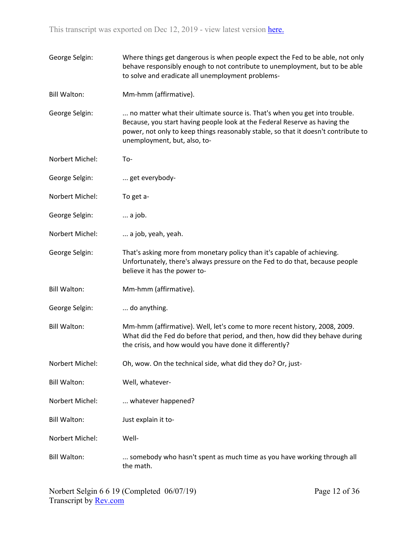| George Selgin:      | Where things get dangerous is when people expect the Fed to be able, not only<br>behave responsibly enough to not contribute to unemployment, but to be able<br>to solve and eradicate all unemployment problems-                                                              |
|---------------------|--------------------------------------------------------------------------------------------------------------------------------------------------------------------------------------------------------------------------------------------------------------------------------|
| <b>Bill Walton:</b> | Mm-hmm (affirmative).                                                                                                                                                                                                                                                          |
| George Selgin:      | no matter what their ultimate source is. That's when you get into trouble.<br>Because, you start having people look at the Federal Reserve as having the<br>power, not only to keep things reasonably stable, so that it doesn't contribute to<br>unemployment, but, also, to- |
| Norbert Michel:     | To-                                                                                                                                                                                                                                                                            |
| George Selgin:      | get everybody-                                                                                                                                                                                                                                                                 |
| Norbert Michel:     | To get a-                                                                                                                                                                                                                                                                      |
| George Selgin:      | a job.                                                                                                                                                                                                                                                                         |
| Norbert Michel:     | a job, yeah, yeah.                                                                                                                                                                                                                                                             |
| George Selgin:      | That's asking more from monetary policy than it's capable of achieving.<br>Unfortunately, there's always pressure on the Fed to do that, because people<br>believe it has the power to-                                                                                        |
| <b>Bill Walton:</b> | Mm-hmm (affirmative).                                                                                                                                                                                                                                                          |
| George Selgin:      | do anything.                                                                                                                                                                                                                                                                   |
| <b>Bill Walton:</b> | Mm-hmm (affirmative). Well, let's come to more recent history, 2008, 2009.<br>What did the Fed do before that period, and then, how did they behave during<br>the crisis, and how would you have done it differently?                                                          |
| Norbert Michel:     | Oh, wow. On the technical side, what did they do? Or, just-                                                                                                                                                                                                                    |
| <b>Bill Walton:</b> | Well, whatever-                                                                                                                                                                                                                                                                |
| Norbert Michel:     | whatever happened?                                                                                                                                                                                                                                                             |
| <b>Bill Walton:</b> | Just explain it to-                                                                                                                                                                                                                                                            |
| Norbert Michel:     | Well-                                                                                                                                                                                                                                                                          |
| <b>Bill Walton:</b> | somebody who hasn't spent as much time as you have working through all<br>the math.                                                                                                                                                                                            |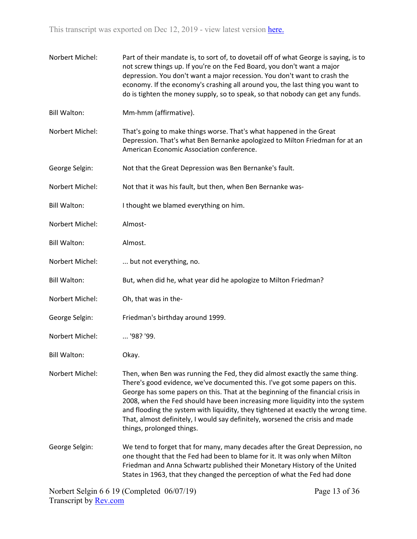Norbert Michel: Part of their mandate is, to sort of, to dovetail off of what George is saying, is to not screw things up. If you're on the Fed Board, you don't want a major depression. You don't want a major recession. You don't want to crash the economy. If the economy's crashing all around you, the last thing you want to do is tighten the money supply, so to speak, so that nobody can get any funds. Bill Walton: Mm-hmm (affirmative). Norbert Michel: That's going to make things worse. That's what happened in the Great Depression. That's what Ben Bernanke apologized to Milton Friedman for at an American Economic Association conference. George Selgin: Not that the Great Depression was Ben Bernanke's fault. Norbert Michel: Not that it was his fault, but then, when Ben Bernanke was-Bill Walton: I thought we blamed everything on him. Norbert Michel: Almost-Bill Walton: Almost. Norbert Michel: ... but not everything, no. Bill Walton: But, when did he, what year did he apologize to Milton Friedman? Norbert Michel: Oh, that was in the-George Selgin: Friedman's birthday around 1999. Norbert Michel: ... '98? '99. Bill Walton: Okay. Norbert Michel: Then, when Ben was running the Fed, they did almost exactly the same thing. There's good evidence, we've documented this. I've got some papers on this. George has some papers on this. That at the beginning of the financial crisis in 2008, when the Fed should have been increasing more liquidity into the system and flooding the system with liquidity, they tightened at exactly the wrong time. That, almost definitely, I would say definitely, worsened the crisis and made things, prolonged things. George Selgin: We tend to forget that for many, many decades after the Great Depression, no one thought that the Fed had been to blame for it. It was only when Milton Friedman and Anna Schwartz published their Monetary History of the United States in 1963, that they changed the perception of what the Fed had done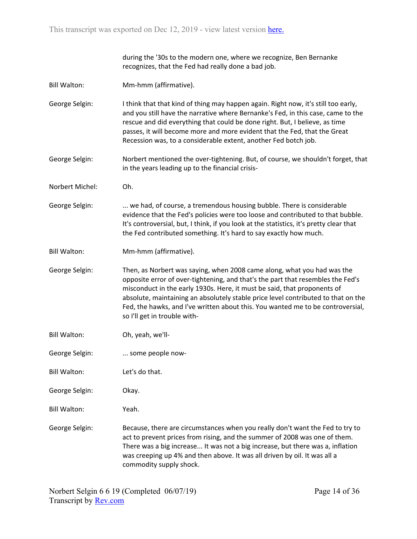during the '30s to the modern one, where we recognize, Ben Bernanke recognizes, that the Fed had really done a bad job.

- Bill Walton: Mm-hmm (affirmative).
- George Selgin: I think that that kind of thing may happen again. Right now, it's still too early, and you still have the narrative where Bernanke's Fed, in this case, came to the rescue and did everything that could be done right. But, I believe, as time passes, it will become more and more evident that the Fed, that the Great Recession was, to a considerable extent, another Fed botch job.
- George Selgin: Norbert mentioned the over-tightening. But, of course, we shouldn't forget, that in the years leading up to the financial crisis-
- Norbert Michel: Oh.
- George Selgin: ... we had, of course, a tremendous housing bubble. There is considerable evidence that the Fed's policies were too loose and contributed to that bubble. It's controversial, but, I think, if you look at the statistics, it's pretty clear that the Fed contributed something. It's hard to say exactly how much.
- Bill Walton: Mm-hmm (affirmative).
- George Selgin: Then, as Norbert was saying, when 2008 came along, what you had was the opposite error of over-tightening, and that's the part that resembles the Fed's misconduct in the early 1930s. Here, it must be said, that proponents of absolute, maintaining an absolutely stable price level contributed to that on the Fed, the hawks, and I've written about this. You wanted me to be controversial, so I'll get in trouble with-
- Bill Walton: Oh, yeah, we'll-
- George Selgin: ... some people now-
- Bill Walton: Let's do that.
- George Selgin: Okay.
- Bill Walton: Yeah.

George Selgin: Because, there are circumstances when you really don't want the Fed to try to act to prevent prices from rising, and the summer of 2008 was one of them. There was a big increase... It was not a big increase, but there was a, inflation was creeping up 4% and then above. It was all driven by oil. It was all a commodity supply shock.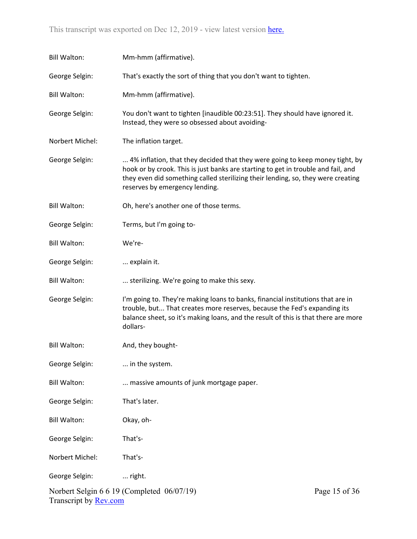| <b>Bill Walton:</b>                                         | Mm-hmm (affirmative).                                                                                                                                                                                                                                                                   |  |
|-------------------------------------------------------------|-----------------------------------------------------------------------------------------------------------------------------------------------------------------------------------------------------------------------------------------------------------------------------------------|--|
| George Selgin:                                              | That's exactly the sort of thing that you don't want to tighten.                                                                                                                                                                                                                        |  |
| <b>Bill Walton:</b>                                         | Mm-hmm (affirmative).                                                                                                                                                                                                                                                                   |  |
| George Selgin:                                              | You don't want to tighten [inaudible 00:23:51]. They should have ignored it.<br>Instead, they were so obsessed about avoiding-                                                                                                                                                          |  |
| Norbert Michel:                                             | The inflation target.                                                                                                                                                                                                                                                                   |  |
| George Selgin:                                              | 4% inflation, that they decided that they were going to keep money tight, by<br>hook or by crook. This is just banks are starting to get in trouble and fail, and<br>they even did something called sterilizing their lending, so, they were creating<br>reserves by emergency lending. |  |
| <b>Bill Walton:</b>                                         | Oh, here's another one of those terms.                                                                                                                                                                                                                                                  |  |
| George Selgin:                                              | Terms, but I'm going to-                                                                                                                                                                                                                                                                |  |
| <b>Bill Walton:</b>                                         | We're-                                                                                                                                                                                                                                                                                  |  |
| George Selgin:                                              | explain it.                                                                                                                                                                                                                                                                             |  |
| <b>Bill Walton:</b>                                         | sterilizing. We're going to make this sexy.                                                                                                                                                                                                                                             |  |
| George Selgin:                                              | I'm going to. They're making loans to banks, financial institutions that are in<br>trouble, but That creates more reserves, because the Fed's expanding its<br>balance sheet, so it's making loans, and the result of this is that there are more<br>dollars-                           |  |
| <b>Bill Walton:</b>                                         | And, they bought-                                                                                                                                                                                                                                                                       |  |
| George Selgin:                                              | in the system.                                                                                                                                                                                                                                                                          |  |
| <b>Bill Walton:</b>                                         | massive amounts of junk mortgage paper.                                                                                                                                                                                                                                                 |  |
| George Selgin:                                              | That's later.                                                                                                                                                                                                                                                                           |  |
| <b>Bill Walton:</b>                                         | Okay, oh-                                                                                                                                                                                                                                                                               |  |
| George Selgin:                                              | That's-                                                                                                                                                                                                                                                                                 |  |
| Norbert Michel:                                             | That's-                                                                                                                                                                                                                                                                                 |  |
| George Selgin:                                              | right.                                                                                                                                                                                                                                                                                  |  |
| Norbert Selgin 6 6 19 (Completed 06/07/19)<br>Page 15 of 36 |                                                                                                                                                                                                                                                                                         |  |

Transcript by **Rev.com**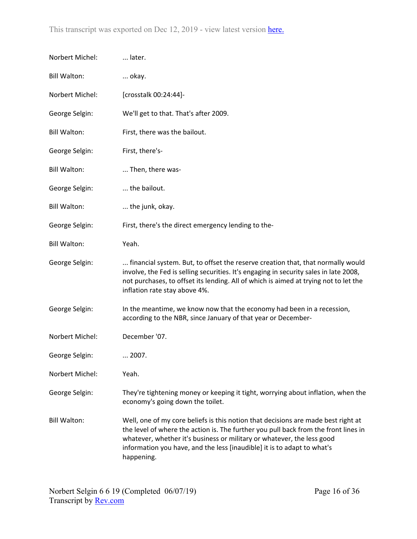| Norbert Michel:     | later.                                                                                                                                                                                                                                                                                                                                      |
|---------------------|---------------------------------------------------------------------------------------------------------------------------------------------------------------------------------------------------------------------------------------------------------------------------------------------------------------------------------------------|
| <b>Bill Walton:</b> | okay.                                                                                                                                                                                                                                                                                                                                       |
| Norbert Michel:     | [crosstalk 00:24:44]-                                                                                                                                                                                                                                                                                                                       |
| George Selgin:      | We'll get to that. That's after 2009.                                                                                                                                                                                                                                                                                                       |
| <b>Bill Walton:</b> | First, there was the bailout.                                                                                                                                                                                                                                                                                                               |
| George Selgin:      | First, there's-                                                                                                                                                                                                                                                                                                                             |
| <b>Bill Walton:</b> | Then, there was-                                                                                                                                                                                                                                                                                                                            |
| George Selgin:      | the bailout.                                                                                                                                                                                                                                                                                                                                |
| <b>Bill Walton:</b> | the junk, okay.                                                                                                                                                                                                                                                                                                                             |
| George Selgin:      | First, there's the direct emergency lending to the-                                                                                                                                                                                                                                                                                         |
| <b>Bill Walton:</b> | Yeah.                                                                                                                                                                                                                                                                                                                                       |
| George Selgin:      | financial system. But, to offset the reserve creation that, that normally would<br>involve, the Fed is selling securities. It's engaging in security sales in late 2008,<br>not purchases, to offset its lending. All of which is aimed at trying not to let the<br>inflation rate stay above 4%.                                           |
| George Selgin:      | In the meantime, we know now that the economy had been in a recession,<br>according to the NBR, since January of that year or December-                                                                                                                                                                                                     |
| Norbert Michel:     | December '07.                                                                                                                                                                                                                                                                                                                               |
| George Selgin:      | 2007.                                                                                                                                                                                                                                                                                                                                       |
| Norbert Michel:     | Yeah.                                                                                                                                                                                                                                                                                                                                       |
| George Selgin:      | They're tightening money or keeping it tight, worrying about inflation, when the<br>economy's going down the toilet.                                                                                                                                                                                                                        |
| <b>Bill Walton:</b> | Well, one of my core beliefs is this notion that decisions are made best right at<br>the level of where the action is. The further you pull back from the front lines in<br>whatever, whether it's business or military or whatever, the less good<br>information you have, and the less [inaudible] it is to adapt to what's<br>happening. |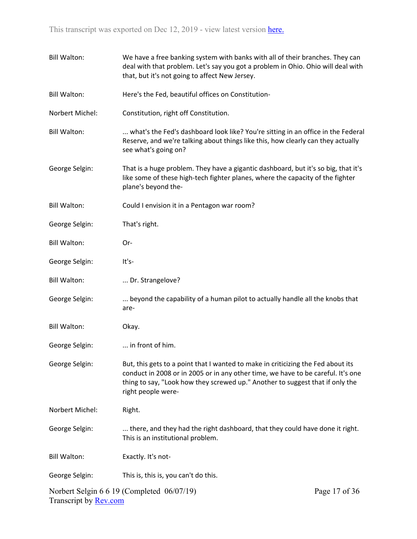| <b>Bill Walton:</b>          | We have a free banking system with banks with all of their branches. They can<br>deal with that problem. Let's say you got a problem in Ohio. Ohio will deal with<br>that, but it's not going to affect New Jersey.                                                         |               |
|------------------------------|-----------------------------------------------------------------------------------------------------------------------------------------------------------------------------------------------------------------------------------------------------------------------------|---------------|
| <b>Bill Walton:</b>          | Here's the Fed, beautiful offices on Constitution-                                                                                                                                                                                                                          |               |
| Norbert Michel:              | Constitution, right off Constitution.                                                                                                                                                                                                                                       |               |
| <b>Bill Walton:</b>          | what's the Fed's dashboard look like? You're sitting in an office in the Federal<br>Reserve, and we're talking about things like this, how clearly can they actually<br>see what's going on?                                                                                |               |
| George Selgin:               | That is a huge problem. They have a gigantic dashboard, but it's so big, that it's<br>like some of these high-tech fighter planes, where the capacity of the fighter<br>plane's beyond the-                                                                                 |               |
| <b>Bill Walton:</b>          | Could I envision it in a Pentagon war room?                                                                                                                                                                                                                                 |               |
| George Selgin:               | That's right.                                                                                                                                                                                                                                                               |               |
| <b>Bill Walton:</b>          | Or-                                                                                                                                                                                                                                                                         |               |
| George Selgin:               | It's-                                                                                                                                                                                                                                                                       |               |
| <b>Bill Walton:</b>          | Dr. Strangelove?                                                                                                                                                                                                                                                            |               |
| George Selgin:               | beyond the capability of a human pilot to actually handle all the knobs that<br>are-                                                                                                                                                                                        |               |
| <b>Bill Walton:</b>          | Okay.                                                                                                                                                                                                                                                                       |               |
| George Selgin:               | in front of him.                                                                                                                                                                                                                                                            |               |
| George Selgin:               | But, this gets to a point that I wanted to make in criticizing the Fed about its<br>conduct in 2008 or in 2005 or in any other time, we have to be careful. It's one<br>thing to say, "Look how they screwed up." Another to suggest that if only the<br>right people were- |               |
| Norbert Michel:              | Right.                                                                                                                                                                                                                                                                      |               |
| George Selgin:               | there, and they had the right dashboard, that they could have done it right.<br>This is an institutional problem.                                                                                                                                                           |               |
| <b>Bill Walton:</b>          | Exactly. It's not-                                                                                                                                                                                                                                                          |               |
| George Selgin:               | This is, this is, you can't do this.                                                                                                                                                                                                                                        |               |
| Transcript by <b>Rev.com</b> | Norbert Selgin 6 6 19 (Completed 06/07/19)                                                                                                                                                                                                                                  | Page 17 of 36 |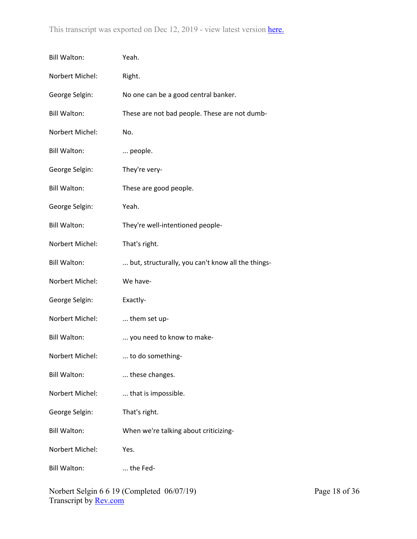| <b>Bill Walton:</b> | Yeah.                                             |
|---------------------|---------------------------------------------------|
| Norbert Michel:     | Right.                                            |
| George Selgin:      | No one can be a good central banker.              |
| <b>Bill Walton:</b> | These are not bad people. These are not dumb-     |
| Norbert Michel:     | No.                                               |
| <b>Bill Walton:</b> | people.                                           |
| George Selgin:      | They're very-                                     |
| <b>Bill Walton:</b> | These are good people.                            |
| George Selgin:      | Yeah.                                             |
| <b>Bill Walton:</b> | They're well-intentioned people-                  |
| Norbert Michel:     | That's right.                                     |
| <b>Bill Walton:</b> | but, structurally, you can't know all the things- |
| Norbert Michel:     | We have-                                          |
| George Selgin:      | Exactly-                                          |
| Norbert Michel:     | them set up-                                      |
| <b>Bill Walton:</b> | you need to know to make-                         |
| Norbert Michel:     | to do something-                                  |
| <b>Bill Walton:</b> | these changes.                                    |
| Norbert Michel:     | that is impossible.                               |
| George Selgin:      | That's right.                                     |
| <b>Bill Walton:</b> | When we're talking about criticizing-             |
| Norbert Michel:     | Yes.                                              |
| <b>Bill Walton:</b> | the Fed-                                          |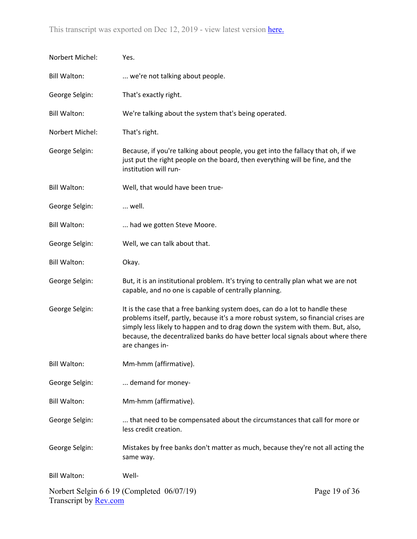| Norbert Michel:              | Yes.                                                                                                                                                                                                                                                                                                                                                        |               |
|------------------------------|-------------------------------------------------------------------------------------------------------------------------------------------------------------------------------------------------------------------------------------------------------------------------------------------------------------------------------------------------------------|---------------|
| <b>Bill Walton:</b>          | we're not talking about people.                                                                                                                                                                                                                                                                                                                             |               |
| George Selgin:               | That's exactly right.                                                                                                                                                                                                                                                                                                                                       |               |
| <b>Bill Walton:</b>          | We're talking about the system that's being operated.                                                                                                                                                                                                                                                                                                       |               |
| Norbert Michel:              | That's right.                                                                                                                                                                                                                                                                                                                                               |               |
| George Selgin:               | Because, if you're talking about people, you get into the fallacy that oh, if we<br>just put the right people on the board, then everything will be fine, and the<br>institution will run-                                                                                                                                                                  |               |
| <b>Bill Walton:</b>          | Well, that would have been true-                                                                                                                                                                                                                                                                                                                            |               |
| George Selgin:               | well.                                                                                                                                                                                                                                                                                                                                                       |               |
| <b>Bill Walton:</b>          | had we gotten Steve Moore.                                                                                                                                                                                                                                                                                                                                  |               |
| George Selgin:               | Well, we can talk about that.                                                                                                                                                                                                                                                                                                                               |               |
| <b>Bill Walton:</b>          | Okay.                                                                                                                                                                                                                                                                                                                                                       |               |
| George Selgin:               | But, it is an institutional problem. It's trying to centrally plan what we are not<br>capable, and no one is capable of centrally planning.                                                                                                                                                                                                                 |               |
| George Selgin:               | It is the case that a free banking system does, can do a lot to handle these<br>problems itself, partly, because it's a more robust system, so financial crises are<br>simply less likely to happen and to drag down the system with them. But, also,<br>because, the decentralized banks do have better local signals about where there<br>are changes in- |               |
| <b>Bill Walton:</b>          | Mm-hmm (affirmative).                                                                                                                                                                                                                                                                                                                                       |               |
| George Selgin:               | demand for money-                                                                                                                                                                                                                                                                                                                                           |               |
| <b>Bill Walton:</b>          | Mm-hmm (affirmative).                                                                                                                                                                                                                                                                                                                                       |               |
| George Selgin:               | that need to be compensated about the circumstances that call for more or<br>less credit creation.                                                                                                                                                                                                                                                          |               |
| George Selgin:               | Mistakes by free banks don't matter as much, because they're not all acting the<br>same way.                                                                                                                                                                                                                                                                |               |
| <b>Bill Walton:</b>          | Well-                                                                                                                                                                                                                                                                                                                                                       |               |
| Transcript by <b>Rev.com</b> | Norbert Selgin 6 6 19 (Completed 06/07/19)                                                                                                                                                                                                                                                                                                                  | Page 19 of 36 |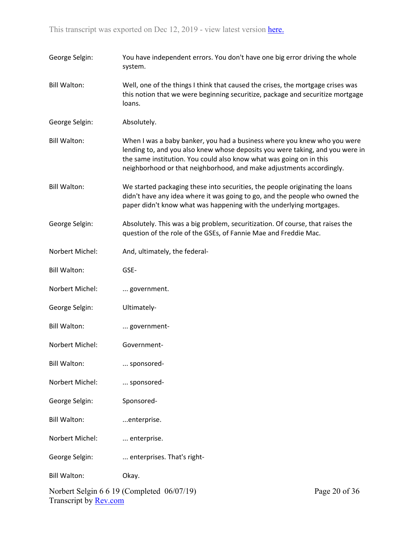| George Selgin:                                                                              | You have independent errors. You don't have one big error driving the whole<br>system.                                                                                                                                                                                                                   |  |
|---------------------------------------------------------------------------------------------|----------------------------------------------------------------------------------------------------------------------------------------------------------------------------------------------------------------------------------------------------------------------------------------------------------|--|
| <b>Bill Walton:</b>                                                                         | Well, one of the things I think that caused the crises, the mortgage crises was<br>this notion that we were beginning securitize, package and securitize mortgage<br>loans.                                                                                                                              |  |
| George Selgin:                                                                              | Absolutely.                                                                                                                                                                                                                                                                                              |  |
| <b>Bill Walton:</b>                                                                         | When I was a baby banker, you had a business where you knew who you were<br>lending to, and you also knew whose deposits you were taking, and you were in<br>the same institution. You could also know what was going on in this<br>neighborhood or that neighborhood, and make adjustments accordingly. |  |
| <b>Bill Walton:</b>                                                                         | We started packaging these into securities, the people originating the loans<br>didn't have any idea where it was going to go, and the people who owned the<br>paper didn't know what was happening with the underlying mortgages.                                                                       |  |
| George Selgin:                                                                              | Absolutely. This was a big problem, securitization. Of course, that raises the<br>question of the role of the GSEs, of Fannie Mae and Freddie Mac.                                                                                                                                                       |  |
| Norbert Michel:                                                                             | And, ultimately, the federal-                                                                                                                                                                                                                                                                            |  |
| <b>Bill Walton:</b>                                                                         | GSE-                                                                                                                                                                                                                                                                                                     |  |
| Norbert Michel:                                                                             | government.                                                                                                                                                                                                                                                                                              |  |
| George Selgin:                                                                              | Ultimately-                                                                                                                                                                                                                                                                                              |  |
| <b>Bill Walton:</b>                                                                         | government-                                                                                                                                                                                                                                                                                              |  |
| Norbert Michel:                                                                             | Government-                                                                                                                                                                                                                                                                                              |  |
| <b>Bill Walton:</b>                                                                         | sponsored-                                                                                                                                                                                                                                                                                               |  |
| Norbert Michel:                                                                             | sponsored-                                                                                                                                                                                                                                                                                               |  |
| George Selgin:                                                                              | Sponsored-                                                                                                                                                                                                                                                                                               |  |
| <b>Bill Walton:</b>                                                                         | enterprise.                                                                                                                                                                                                                                                                                              |  |
| Norbert Michel:                                                                             | enterprise.                                                                                                                                                                                                                                                                                              |  |
| George Selgin:                                                                              | enterprises. That's right-                                                                                                                                                                                                                                                                               |  |
| <b>Bill Walton:</b>                                                                         | Okay.                                                                                                                                                                                                                                                                                                    |  |
| Norbert Selgin 6 6 19 (Completed 06/07/19)<br>Page 20 of 36<br>Transcript by <b>Rev.com</b> |                                                                                                                                                                                                                                                                                                          |  |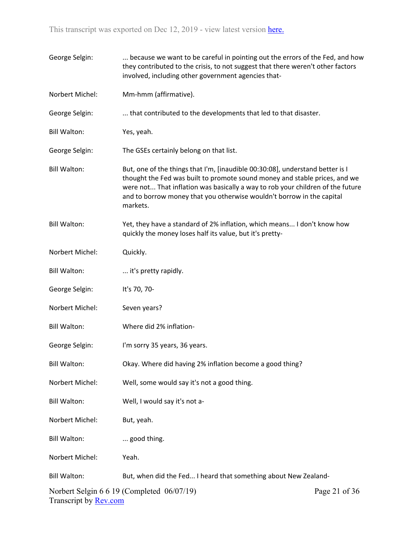| George Selgin:               | because we want to be careful in pointing out the errors of the Fed, and how<br>they contributed to the crisis, to not suggest that there weren't other factors<br>involved, including other government agencies that-                                                                                                             |               |
|------------------------------|------------------------------------------------------------------------------------------------------------------------------------------------------------------------------------------------------------------------------------------------------------------------------------------------------------------------------------|---------------|
| Norbert Michel:              | Mm-hmm (affirmative).                                                                                                                                                                                                                                                                                                              |               |
| George Selgin:               | that contributed to the developments that led to that disaster.                                                                                                                                                                                                                                                                    |               |
| <b>Bill Walton:</b>          | Yes, yeah.                                                                                                                                                                                                                                                                                                                         |               |
| George Selgin:               | The GSEs certainly belong on that list.                                                                                                                                                                                                                                                                                            |               |
| <b>Bill Walton:</b>          | But, one of the things that I'm, [inaudible 00:30:08], understand better is I<br>thought the Fed was built to promote sound money and stable prices, and we<br>were not That inflation was basically a way to rob your children of the future<br>and to borrow money that you otherwise wouldn't borrow in the capital<br>markets. |               |
| <b>Bill Walton:</b>          | Yet, they have a standard of 2% inflation, which means I don't know how<br>quickly the money loses half its value, but it's pretty-                                                                                                                                                                                                |               |
| Norbert Michel:              | Quickly.                                                                                                                                                                                                                                                                                                                           |               |
| <b>Bill Walton:</b>          | it's pretty rapidly.                                                                                                                                                                                                                                                                                                               |               |
| George Selgin:               | It's 70, 70-                                                                                                                                                                                                                                                                                                                       |               |
| Norbert Michel:              | Seven years?                                                                                                                                                                                                                                                                                                                       |               |
| <b>Bill Walton:</b>          | Where did 2% inflation-                                                                                                                                                                                                                                                                                                            |               |
| George Selgin:               | I'm sorry 35 years, 36 years.                                                                                                                                                                                                                                                                                                      |               |
| <b>Bill Walton:</b>          | Okay. Where did having 2% inflation become a good thing?                                                                                                                                                                                                                                                                           |               |
| Norbert Michel:              | Well, some would say it's not a good thing.                                                                                                                                                                                                                                                                                        |               |
| <b>Bill Walton:</b>          | Well, I would say it's not a-                                                                                                                                                                                                                                                                                                      |               |
| Norbert Michel:              | But, yeah.                                                                                                                                                                                                                                                                                                                         |               |
| <b>Bill Walton:</b>          | good thing.                                                                                                                                                                                                                                                                                                                        |               |
| Norbert Michel:              | Yeah.                                                                                                                                                                                                                                                                                                                              |               |
| <b>Bill Walton:</b>          | But, when did the Fed I heard that something about New Zealand-                                                                                                                                                                                                                                                                    |               |
| Transcript by <b>Rev.com</b> | Norbert Selgin 6 6 19 (Completed 06/07/19)                                                                                                                                                                                                                                                                                         | Page 21 of 36 |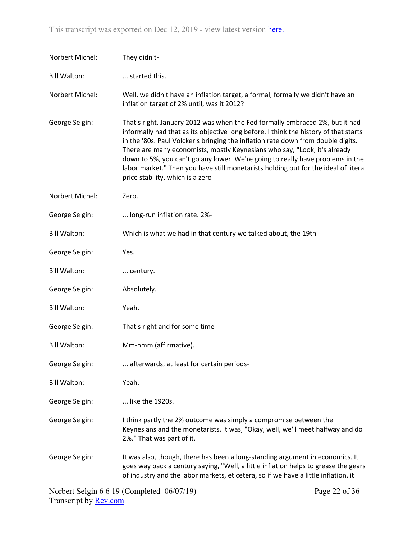| Norbert Michel:     | They didn't-                                                                                                                                                                                                                                                                                                                                                                                                                                                                                                                                        |               |
|---------------------|-----------------------------------------------------------------------------------------------------------------------------------------------------------------------------------------------------------------------------------------------------------------------------------------------------------------------------------------------------------------------------------------------------------------------------------------------------------------------------------------------------------------------------------------------------|---------------|
| <b>Bill Walton:</b> | started this.                                                                                                                                                                                                                                                                                                                                                                                                                                                                                                                                       |               |
| Norbert Michel:     | Well, we didn't have an inflation target, a formal, formally we didn't have an<br>inflation target of 2% until, was it 2012?                                                                                                                                                                                                                                                                                                                                                                                                                        |               |
| George Selgin:      | That's right. January 2012 was when the Fed formally embraced 2%, but it had<br>informally had that as its objective long before. I think the history of that starts<br>in the '80s. Paul Volcker's bringing the inflation rate down from double digits.<br>There are many economists, mostly Keynesians who say, "Look, it's already<br>down to 5%, you can't go any lower. We're going to really have problems in the<br>labor market." Then you have still monetarists holding out for the ideal of literal<br>price stability, which is a zero- |               |
| Norbert Michel:     | Zero.                                                                                                                                                                                                                                                                                                                                                                                                                                                                                                                                               |               |
| George Selgin:      | long-run inflation rate. 2%-                                                                                                                                                                                                                                                                                                                                                                                                                                                                                                                        |               |
| <b>Bill Walton:</b> | Which is what we had in that century we talked about, the 19th-                                                                                                                                                                                                                                                                                                                                                                                                                                                                                     |               |
| George Selgin:      | Yes.                                                                                                                                                                                                                                                                                                                                                                                                                                                                                                                                                |               |
| <b>Bill Walton:</b> | century.                                                                                                                                                                                                                                                                                                                                                                                                                                                                                                                                            |               |
| George Selgin:      | Absolutely.                                                                                                                                                                                                                                                                                                                                                                                                                                                                                                                                         |               |
| <b>Bill Walton:</b> | Yeah.                                                                                                                                                                                                                                                                                                                                                                                                                                                                                                                                               |               |
| George Selgin:      | That's right and for some time-                                                                                                                                                                                                                                                                                                                                                                                                                                                                                                                     |               |
| <b>Bill Walton:</b> | Mm-hmm (affirmative).                                                                                                                                                                                                                                                                                                                                                                                                                                                                                                                               |               |
| George Selgin:      | afterwards, at least for certain periods-                                                                                                                                                                                                                                                                                                                                                                                                                                                                                                           |               |
| <b>Bill Walton:</b> | Yeah.                                                                                                                                                                                                                                                                                                                                                                                                                                                                                                                                               |               |
| George Selgin:      | like the 1920s.                                                                                                                                                                                                                                                                                                                                                                                                                                                                                                                                     |               |
| George Selgin:      | I think partly the 2% outcome was simply a compromise between the<br>Keynesians and the monetarists. It was, "Okay, well, we'll meet halfway and do<br>2%." That was part of it.                                                                                                                                                                                                                                                                                                                                                                    |               |
| George Selgin:      | It was also, though, there has been a long-standing argument in economics. It<br>goes way back a century saying, "Well, a little inflation helps to grease the gears<br>of industry and the labor markets, et cetera, so if we have a little inflation, it                                                                                                                                                                                                                                                                                          |               |
|                     | Norbert Selgin 6 6 19 (Completed 06/07/19)                                                                                                                                                                                                                                                                                                                                                                                                                                                                                                          | Page 22 of 36 |

Transcript by **Rev.com**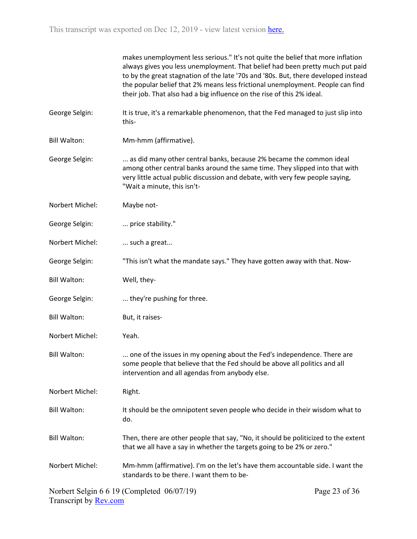makes unemployment less serious." It's not quite the belief that more inflation always gives you less unemployment. That belief had been pretty much put paid to by the great stagnation of the late '70s and '80s. But, there developed instead the popular belief that 2% means less frictional unemployment. People can find their job. That also had a big influence on the rise of this 2% ideal.

- George Selgin: It is true, it's a remarkable phenomenon, that the Fed managed to just slip into this-
- Bill Walton: Mm-hmm (affirmative).
- George Selgin: ... as did many other central banks, because 2% became the common ideal among other central banks around the same time. They slipped into that with very little actual public discussion and debate, with very few people saying, "Wait a minute, this isn't-
- Norbert Michel: Maybe not-
- George Selgin: ... price stability."
- Norbert Michel: ... such a great...
- George Selgin: "This isn't what the mandate says." They have gotten away with that. Now-
- Bill Walton: Well, they-
- George Selgin: .... they're pushing for three.
- Bill Walton: But, it raises-
- Norbert Michel: Yeah.
- Bill Walton: ... one of the issues in my opening about the Fed's independence. There are some people that believe that the Fed should be above all politics and all intervention and all agendas from anybody else.
- Norbert Michel: Right.
- Bill Walton: It should be the omnipotent seven people who decide in their wisdom what to do.
- Bill Walton: Then, there are other people that say, "No, it should be politicized to the extent that we all have a say in whether the targets going to be 2% or zero."
- Norbert Michel: Mm-hmm (affirmative). I'm on the let's have them accountable side. I want the standards to be there. I want them to be-

Norbert Selgin 6 6 19 (Completed 06/07/19) Transcript by [Rev.com](https://www.rev.com/)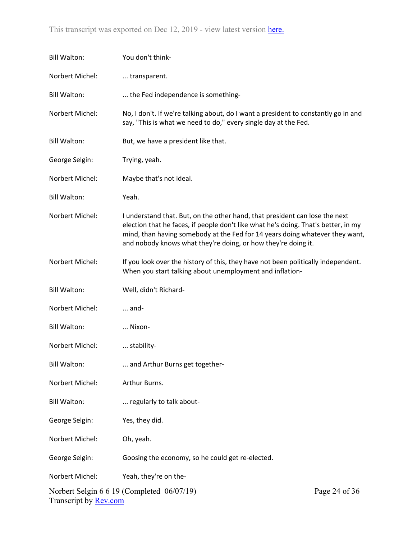| <b>Bill Walton:</b>          | You don't think-                                                                                                                                                                                                                                                                                                   |               |
|------------------------------|--------------------------------------------------------------------------------------------------------------------------------------------------------------------------------------------------------------------------------------------------------------------------------------------------------------------|---------------|
| Norbert Michel:              | transparent.                                                                                                                                                                                                                                                                                                       |               |
| <b>Bill Walton:</b>          | the Fed independence is something-                                                                                                                                                                                                                                                                                 |               |
| Norbert Michel:              | No, I don't. If we're talking about, do I want a president to constantly go in and<br>say, "This is what we need to do," every single day at the Fed.                                                                                                                                                              |               |
| <b>Bill Walton:</b>          | But, we have a president like that.                                                                                                                                                                                                                                                                                |               |
| George Selgin:               | Trying, yeah.                                                                                                                                                                                                                                                                                                      |               |
| Norbert Michel:              | Maybe that's not ideal.                                                                                                                                                                                                                                                                                            |               |
| <b>Bill Walton:</b>          | Yeah.                                                                                                                                                                                                                                                                                                              |               |
| Norbert Michel:              | I understand that. But, on the other hand, that president can lose the next<br>election that he faces, if people don't like what he's doing. That's better, in my<br>mind, than having somebody at the Fed for 14 years doing whatever they want,<br>and nobody knows what they're doing, or how they're doing it. |               |
| Norbert Michel:              | If you look over the history of this, they have not been politically independent.<br>When you start talking about unemployment and inflation-                                                                                                                                                                      |               |
| <b>Bill Walton:</b>          | Well, didn't Richard-                                                                                                                                                                                                                                                                                              |               |
| Norbert Michel:              | $\dots$ and-                                                                                                                                                                                                                                                                                                       |               |
| <b>Bill Walton:</b>          | Nixon-                                                                                                                                                                                                                                                                                                             |               |
| Norbert Michel:              | stability-                                                                                                                                                                                                                                                                                                         |               |
| <b>Bill Walton:</b>          | and Arthur Burns get together-                                                                                                                                                                                                                                                                                     |               |
| Norbert Michel:              | Arthur Burns.                                                                                                                                                                                                                                                                                                      |               |
| <b>Bill Walton:</b>          | regularly to talk about-                                                                                                                                                                                                                                                                                           |               |
| George Selgin:               | Yes, they did.                                                                                                                                                                                                                                                                                                     |               |
| Norbert Michel:              | Oh, yeah.                                                                                                                                                                                                                                                                                                          |               |
| George Selgin:               | Goosing the economy, so he could get re-elected.                                                                                                                                                                                                                                                                   |               |
| Norbert Michel:              | Yeah, they're on the-                                                                                                                                                                                                                                                                                              |               |
| Transcript by <b>Rev.com</b> | Norbert Selgin 6 6 19 (Completed 06/07/19)                                                                                                                                                                                                                                                                         | Page 24 of 36 |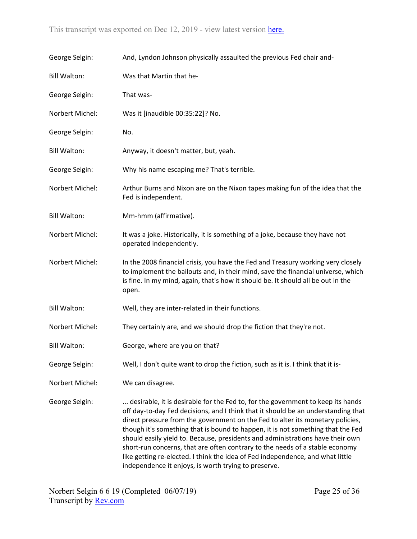| George Selgin:      | And, Lyndon Johnson physically assaulted the previous Fed chair and-                                                                                                                                                                                                                                                                                                                                                                                                                                                                                                                                                                                  |
|---------------------|-------------------------------------------------------------------------------------------------------------------------------------------------------------------------------------------------------------------------------------------------------------------------------------------------------------------------------------------------------------------------------------------------------------------------------------------------------------------------------------------------------------------------------------------------------------------------------------------------------------------------------------------------------|
| <b>Bill Walton:</b> | Was that Martin that he-                                                                                                                                                                                                                                                                                                                                                                                                                                                                                                                                                                                                                              |
| George Selgin:      | That was-                                                                                                                                                                                                                                                                                                                                                                                                                                                                                                                                                                                                                                             |
| Norbert Michel:     | Was it [inaudible 00:35:22]? No.                                                                                                                                                                                                                                                                                                                                                                                                                                                                                                                                                                                                                      |
| George Selgin:      | No.                                                                                                                                                                                                                                                                                                                                                                                                                                                                                                                                                                                                                                                   |
| <b>Bill Walton:</b> | Anyway, it doesn't matter, but, yeah.                                                                                                                                                                                                                                                                                                                                                                                                                                                                                                                                                                                                                 |
| George Selgin:      | Why his name escaping me? That's terrible.                                                                                                                                                                                                                                                                                                                                                                                                                                                                                                                                                                                                            |
| Norbert Michel:     | Arthur Burns and Nixon are on the Nixon tapes making fun of the idea that the<br>Fed is independent.                                                                                                                                                                                                                                                                                                                                                                                                                                                                                                                                                  |
| <b>Bill Walton:</b> | Mm-hmm (affirmative).                                                                                                                                                                                                                                                                                                                                                                                                                                                                                                                                                                                                                                 |
| Norbert Michel:     | It was a joke. Historically, it is something of a joke, because they have not<br>operated independently.                                                                                                                                                                                                                                                                                                                                                                                                                                                                                                                                              |
| Norbert Michel:     | In the 2008 financial crisis, you have the Fed and Treasury working very closely<br>to implement the bailouts and, in their mind, save the financial universe, which<br>is fine. In my mind, again, that's how it should be. It should all be out in the<br>open.                                                                                                                                                                                                                                                                                                                                                                                     |
| <b>Bill Walton:</b> | Well, they are inter-related in their functions.                                                                                                                                                                                                                                                                                                                                                                                                                                                                                                                                                                                                      |
| Norbert Michel:     | They certainly are, and we should drop the fiction that they're not.                                                                                                                                                                                                                                                                                                                                                                                                                                                                                                                                                                                  |
| <b>Bill Walton:</b> | George, where are you on that?                                                                                                                                                                                                                                                                                                                                                                                                                                                                                                                                                                                                                        |
| George Selgin:      | Well, I don't quite want to drop the fiction, such as it is. I think that it is-                                                                                                                                                                                                                                                                                                                                                                                                                                                                                                                                                                      |
| Norbert Michel:     | We can disagree.                                                                                                                                                                                                                                                                                                                                                                                                                                                                                                                                                                                                                                      |
| George Selgin:      | desirable, it is desirable for the Fed to, for the government to keep its hands<br>off day-to-day Fed decisions, and I think that it should be an understanding that<br>direct pressure from the government on the Fed to alter its monetary policies,<br>though it's something that is bound to happen, it is not something that the Fed<br>should easily yield to. Because, presidents and administrations have their own<br>short-run concerns, that are often contrary to the needs of a stable economy<br>like getting re-elected. I think the idea of Fed independence, and what little<br>independence it enjoys, is worth trying to preserve. |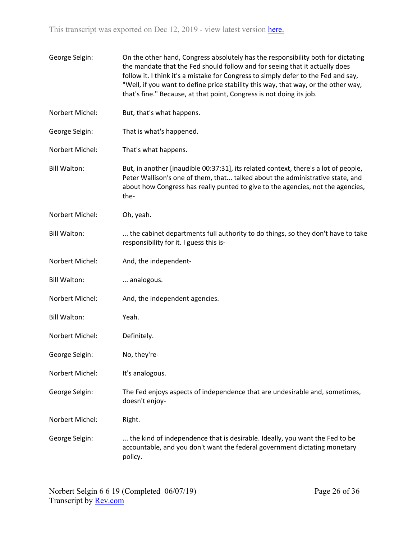| George Selgin:      | On the other hand, Congress absolutely has the responsibility both for dictating<br>the mandate that the Fed should follow and for seeing that it actually does<br>follow it. I think it's a mistake for Congress to simply defer to the Fed and say,<br>"Well, if you want to define price stability this way, that way, or the other way,<br>that's fine." Because, at that point, Congress is not doing its job. |
|---------------------|---------------------------------------------------------------------------------------------------------------------------------------------------------------------------------------------------------------------------------------------------------------------------------------------------------------------------------------------------------------------------------------------------------------------|
| Norbert Michel:     | But, that's what happens.                                                                                                                                                                                                                                                                                                                                                                                           |
| George Selgin:      | That is what's happened.                                                                                                                                                                                                                                                                                                                                                                                            |
| Norbert Michel:     | That's what happens.                                                                                                                                                                                                                                                                                                                                                                                                |
| <b>Bill Walton:</b> | But, in another [inaudible 00:37:31], its related context, there's a lot of people,<br>Peter Wallison's one of them, that talked about the administrative state, and<br>about how Congress has really punted to give to the agencies, not the agencies,<br>the-                                                                                                                                                     |
| Norbert Michel:     | Oh, yeah.                                                                                                                                                                                                                                                                                                                                                                                                           |
| <b>Bill Walton:</b> | the cabinet departments full authority to do things, so they don't have to take<br>responsibility for it. I guess this is-                                                                                                                                                                                                                                                                                          |
| Norbert Michel:     | And, the independent-                                                                                                                                                                                                                                                                                                                                                                                               |
| <b>Bill Walton:</b> | analogous.                                                                                                                                                                                                                                                                                                                                                                                                          |
| Norbert Michel:     | And, the independent agencies.                                                                                                                                                                                                                                                                                                                                                                                      |
| <b>Bill Walton:</b> | Yeah.                                                                                                                                                                                                                                                                                                                                                                                                               |
| Norbert Michel:     | Definitely.                                                                                                                                                                                                                                                                                                                                                                                                         |
| George Selgin:      | No, they're-                                                                                                                                                                                                                                                                                                                                                                                                        |
| Norbert Michel:     | It's analogous.                                                                                                                                                                                                                                                                                                                                                                                                     |
| George Selgin:      | The Fed enjoys aspects of independence that are undesirable and, sometimes,<br>doesn't enjoy-                                                                                                                                                                                                                                                                                                                       |
| Norbert Michel:     | Right.                                                                                                                                                                                                                                                                                                                                                                                                              |
| George Selgin:      | the kind of independence that is desirable. Ideally, you want the Fed to be<br>accountable, and you don't want the federal government dictating monetary<br>policy.                                                                                                                                                                                                                                                 |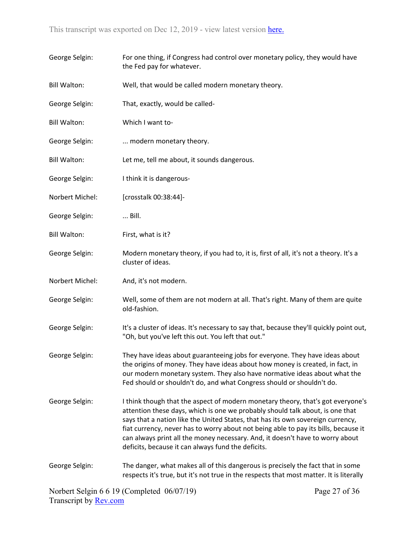| George Selgin:      | For one thing, if Congress had control over monetary policy, they would have<br>the Fed pay for whatever.                                                                                                                                                                                                                                                                                                                                                                         |
|---------------------|-----------------------------------------------------------------------------------------------------------------------------------------------------------------------------------------------------------------------------------------------------------------------------------------------------------------------------------------------------------------------------------------------------------------------------------------------------------------------------------|
| <b>Bill Walton:</b> | Well, that would be called modern monetary theory.                                                                                                                                                                                                                                                                                                                                                                                                                                |
| George Selgin:      | That, exactly, would be called-                                                                                                                                                                                                                                                                                                                                                                                                                                                   |
| <b>Bill Walton:</b> | Which I want to-                                                                                                                                                                                                                                                                                                                                                                                                                                                                  |
| George Selgin:      | modern monetary theory.                                                                                                                                                                                                                                                                                                                                                                                                                                                           |
| <b>Bill Walton:</b> | Let me, tell me about, it sounds dangerous.                                                                                                                                                                                                                                                                                                                                                                                                                                       |
| George Selgin:      | I think it is dangerous-                                                                                                                                                                                                                                                                                                                                                                                                                                                          |
| Norbert Michel:     | [crosstalk 00:38:44]-                                                                                                                                                                                                                                                                                                                                                                                                                                                             |
| George Selgin:      | Bill.                                                                                                                                                                                                                                                                                                                                                                                                                                                                             |
| <b>Bill Walton:</b> | First, what is it?                                                                                                                                                                                                                                                                                                                                                                                                                                                                |
| George Selgin:      | Modern monetary theory, if you had to, it is, first of all, it's not a theory. It's a<br>cluster of ideas.                                                                                                                                                                                                                                                                                                                                                                        |
| Norbert Michel:     | And, it's not modern.                                                                                                                                                                                                                                                                                                                                                                                                                                                             |
| George Selgin:      | Well, some of them are not modern at all. That's right. Many of them are quite<br>old-fashion.                                                                                                                                                                                                                                                                                                                                                                                    |
| George Selgin:      | It's a cluster of ideas. It's necessary to say that, because they'll quickly point out,<br>"Oh, but you've left this out. You left that out."                                                                                                                                                                                                                                                                                                                                     |
| George Selgin:      | They have ideas about guaranteeing jobs for everyone. They have ideas about<br>the origins of money. They have ideas about how money is created, in fact, in<br>our modern monetary system. They also have normative ideas about what the<br>Fed should or shouldn't do, and what Congress should or shouldn't do.                                                                                                                                                                |
| George Selgin:      | I think though that the aspect of modern monetary theory, that's got everyone's<br>attention these days, which is one we probably should talk about, is one that<br>says that a nation like the United States, that has its own sovereign currency,<br>fiat currency, never has to worry about not being able to pay its bills, because it<br>can always print all the money necessary. And, it doesn't have to worry about<br>deficits, because it can always fund the deficits. |
| George Selgin:      | The danger, what makes all of this dangerous is precisely the fact that in some<br>respects it's true, but it's not true in the respects that most matter. It is literally                                                                                                                                                                                                                                                                                                        |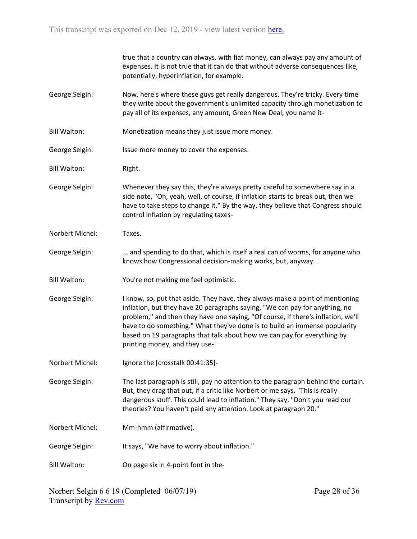|                     | true that a country can always, with fiat money, can always pay any amount of<br>expenses. It is not true that it can do that without adverse consequences like,<br>potentially, hyperinflation, for example.                                                                                                                                                                                                                              |
|---------------------|--------------------------------------------------------------------------------------------------------------------------------------------------------------------------------------------------------------------------------------------------------------------------------------------------------------------------------------------------------------------------------------------------------------------------------------------|
| George Selgin:      | Now, here's where these guys get really dangerous. They're tricky. Every time<br>they write about the government's unlimited capacity through monetization to<br>pay all of its expenses, any amount, Green New Deal, you name it-                                                                                                                                                                                                         |
| <b>Bill Walton:</b> | Monetization means they just issue more money.                                                                                                                                                                                                                                                                                                                                                                                             |
| George Selgin:      | Issue more money to cover the expenses.                                                                                                                                                                                                                                                                                                                                                                                                    |
| <b>Bill Walton:</b> | Right.                                                                                                                                                                                                                                                                                                                                                                                                                                     |
| George Selgin:      | Whenever they say this, they're always pretty careful to somewhere say in a<br>side note, "Oh, yeah, well, of course, if inflation starts to break out, then we<br>have to take steps to change it." By the way, they believe that Congress should<br>control inflation by regulating taxes-                                                                                                                                               |
| Norbert Michel:     | Taxes.                                                                                                                                                                                                                                                                                                                                                                                                                                     |
| George Selgin:      | and spending to do that, which is itself a real can of worms, for anyone who<br>knows how Congressional decision-making works, but, anyway                                                                                                                                                                                                                                                                                                 |
| <b>Bill Walton:</b> | You're not making me feel optimistic.                                                                                                                                                                                                                                                                                                                                                                                                      |
| George Selgin:      | I know, so, put that aside. They have, they always make a point of mentioning<br>inflation, but they have 20 paragraphs saying, "We can pay for anything, no<br>problem," and then they have one saying, "Of course, if there's inflation, we'll<br>have to do something." What they've done is to build an immense popularity<br>based on 19 paragraphs that talk about how we can pay for everything by<br>printing money, and they use- |
| Norbert Michel:     | Ignore the [crosstalk 00:41:35]-                                                                                                                                                                                                                                                                                                                                                                                                           |
| George Selgin:      | The last paragraph is still, pay no attention to the paragraph behind the curtain.<br>But, they drag that out, if a critic like Norbert or me says, "This is really<br>dangerous stuff. This could lead to inflation." They say, "Don't you read our<br>theories? You haven't paid any attention. Look at paragraph 20."                                                                                                                   |
| Norbert Michel:     | Mm-hmm (affirmative).                                                                                                                                                                                                                                                                                                                                                                                                                      |
| George Selgin:      | It says, "We have to worry about inflation."                                                                                                                                                                                                                                                                                                                                                                                               |
| <b>Bill Walton:</b> | On page six in 4-point font in the-                                                                                                                                                                                                                                                                                                                                                                                                        |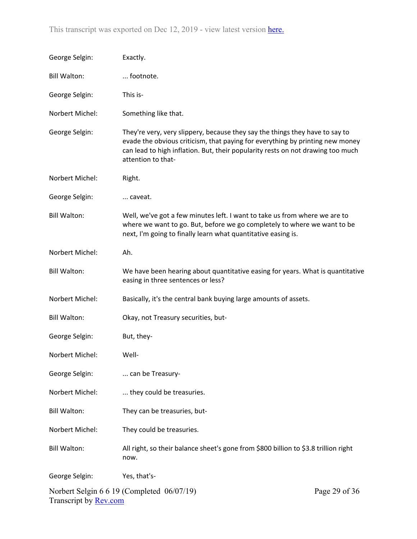| George Selgin:               | Exactly.                                                                                                                                                                                                                                                               |               |
|------------------------------|------------------------------------------------------------------------------------------------------------------------------------------------------------------------------------------------------------------------------------------------------------------------|---------------|
| <b>Bill Walton:</b>          | footnote.                                                                                                                                                                                                                                                              |               |
| George Selgin:               | This is-                                                                                                                                                                                                                                                               |               |
| Norbert Michel:              | Something like that.                                                                                                                                                                                                                                                   |               |
| George Selgin:               | They're very, very slippery, because they say the things they have to say to<br>evade the obvious criticism, that paying for everything by printing new money<br>can lead to high inflation. But, their popularity rests on not drawing too much<br>attention to that- |               |
| Norbert Michel:              | Right.                                                                                                                                                                                                                                                                 |               |
| George Selgin:               | caveat.                                                                                                                                                                                                                                                                |               |
| <b>Bill Walton:</b>          | Well, we've got a few minutes left. I want to take us from where we are to<br>where we want to go. But, before we go completely to where we want to be<br>next, I'm going to finally learn what quantitative easing is.                                                |               |
| Norbert Michel:              | Ah.                                                                                                                                                                                                                                                                    |               |
| <b>Bill Walton:</b>          | We have been hearing about quantitative easing for years. What is quantitative<br>easing in three sentences or less?                                                                                                                                                   |               |
| Norbert Michel:              | Basically, it's the central bank buying large amounts of assets.                                                                                                                                                                                                       |               |
| <b>Bill Walton:</b>          | Okay, not Treasury securities, but-                                                                                                                                                                                                                                    |               |
| George Selgin:               | But, they-                                                                                                                                                                                                                                                             |               |
| Norbert Michel:              | Well-                                                                                                                                                                                                                                                                  |               |
| George Selgin:               | can be Treasury-                                                                                                                                                                                                                                                       |               |
| Norbert Michel:              | they could be treasuries.                                                                                                                                                                                                                                              |               |
| <b>Bill Walton:</b>          | They can be treasuries, but-                                                                                                                                                                                                                                           |               |
| Norbert Michel:              | They could be treasuries.                                                                                                                                                                                                                                              |               |
| <b>Bill Walton:</b>          | All right, so their balance sheet's gone from \$800 billion to \$3.8 trillion right<br>now.                                                                                                                                                                            |               |
| George Selgin:               | Yes, that's-                                                                                                                                                                                                                                                           |               |
| Transcript by <b>Rev.com</b> | Norbert Selgin 6 6 19 (Completed 06/07/19)                                                                                                                                                                                                                             | Page 29 of 36 |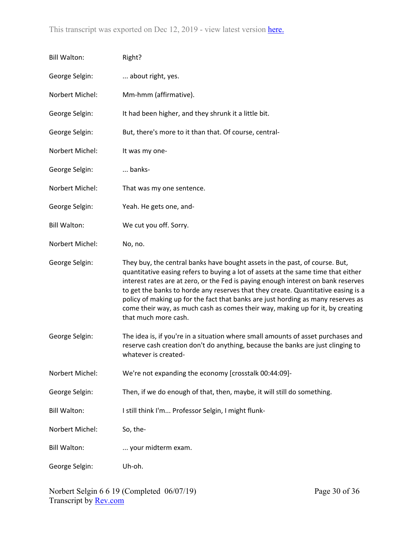| <b>Bill Walton:</b> | Right?                                                                                                                                                                                                                                                                                                                                                                                                                                                                                                                                   |
|---------------------|------------------------------------------------------------------------------------------------------------------------------------------------------------------------------------------------------------------------------------------------------------------------------------------------------------------------------------------------------------------------------------------------------------------------------------------------------------------------------------------------------------------------------------------|
| George Selgin:      | about right, yes.                                                                                                                                                                                                                                                                                                                                                                                                                                                                                                                        |
| Norbert Michel:     | Mm-hmm (affirmative).                                                                                                                                                                                                                                                                                                                                                                                                                                                                                                                    |
| George Selgin:      | It had been higher, and they shrunk it a little bit.                                                                                                                                                                                                                                                                                                                                                                                                                                                                                     |
| George Selgin:      | But, there's more to it than that. Of course, central-                                                                                                                                                                                                                                                                                                                                                                                                                                                                                   |
| Norbert Michel:     | It was my one-                                                                                                                                                                                                                                                                                                                                                                                                                                                                                                                           |
| George Selgin:      | banks-                                                                                                                                                                                                                                                                                                                                                                                                                                                                                                                                   |
| Norbert Michel:     | That was my one sentence.                                                                                                                                                                                                                                                                                                                                                                                                                                                                                                                |
| George Selgin:      | Yeah. He gets one, and-                                                                                                                                                                                                                                                                                                                                                                                                                                                                                                                  |
| <b>Bill Walton:</b> | We cut you off. Sorry.                                                                                                                                                                                                                                                                                                                                                                                                                                                                                                                   |
| Norbert Michel:     | No, no.                                                                                                                                                                                                                                                                                                                                                                                                                                                                                                                                  |
| George Selgin:      | They buy, the central banks have bought assets in the past, of course. But,<br>quantitative easing refers to buying a lot of assets at the same time that either<br>interest rates are at zero, or the Fed is paying enough interest on bank reserves<br>to get the banks to horde any reserves that they create. Quantitative easing is a<br>policy of making up for the fact that banks are just hording as many reserves as<br>come their way, as much cash as comes their way, making up for it, by creating<br>that much more cash. |
| George Selgin:      | The idea is, if you're in a situation where small amounts of asset purchases and<br>reserve cash creation don't do anything, because the banks are just clinging to<br>whatever is created-                                                                                                                                                                                                                                                                                                                                              |
| Norbert Michel:     | We're not expanding the economy [crosstalk 00:44:09]-                                                                                                                                                                                                                                                                                                                                                                                                                                                                                    |
| George Selgin:      | Then, if we do enough of that, then, maybe, it will still do something.                                                                                                                                                                                                                                                                                                                                                                                                                                                                  |
| <b>Bill Walton:</b> | I still think I'm Professor Selgin, I might flunk-                                                                                                                                                                                                                                                                                                                                                                                                                                                                                       |
| Norbert Michel:     | So, the-                                                                                                                                                                                                                                                                                                                                                                                                                                                                                                                                 |
| <b>Bill Walton:</b> | your midterm exam.                                                                                                                                                                                                                                                                                                                                                                                                                                                                                                                       |
| George Selgin:      | Uh-oh.                                                                                                                                                                                                                                                                                                                                                                                                                                                                                                                                   |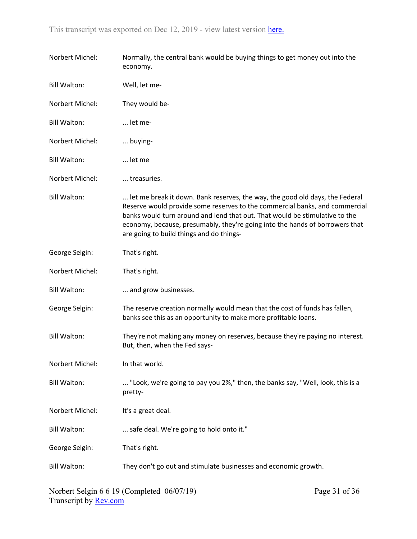| Norbert Michel:     | Normally, the central bank would be buying things to get money out into the<br>economy.                                                                                                                                                                                                                                                                                |
|---------------------|------------------------------------------------------------------------------------------------------------------------------------------------------------------------------------------------------------------------------------------------------------------------------------------------------------------------------------------------------------------------|
| <b>Bill Walton:</b> | Well, let me-                                                                                                                                                                                                                                                                                                                                                          |
| Norbert Michel:     | They would be-                                                                                                                                                                                                                                                                                                                                                         |
| <b>Bill Walton:</b> | let me-                                                                                                                                                                                                                                                                                                                                                                |
| Norbert Michel:     | buying-                                                                                                                                                                                                                                                                                                                                                                |
| <b>Bill Walton:</b> | let me                                                                                                                                                                                                                                                                                                                                                                 |
| Norbert Michel:     | treasuries.                                                                                                                                                                                                                                                                                                                                                            |
| <b>Bill Walton:</b> | let me break it down. Bank reserves, the way, the good old days, the Federal<br>Reserve would provide some reserves to the commercial banks, and commercial<br>banks would turn around and lend that out. That would be stimulative to the<br>economy, because, presumably, they're going into the hands of borrowers that<br>are going to build things and do things- |
| George Selgin:      | That's right.                                                                                                                                                                                                                                                                                                                                                          |
| Norbert Michel:     | That's right.                                                                                                                                                                                                                                                                                                                                                          |
| <b>Bill Walton:</b> | and grow businesses.                                                                                                                                                                                                                                                                                                                                                   |
| George Selgin:      | The reserve creation normally would mean that the cost of funds has fallen,<br>banks see this as an opportunity to make more profitable loans.                                                                                                                                                                                                                         |
| <b>Bill Walton:</b> | They're not making any money on reserves, because they're paying no interest.<br>But, then, when the Fed says-                                                                                                                                                                                                                                                         |
| Norbert Michel:     | In that world.                                                                                                                                                                                                                                                                                                                                                         |
| <b>Bill Walton:</b> | "Look, we're going to pay you 2%," then, the banks say, "Well, look, this is a<br>pretty-                                                                                                                                                                                                                                                                              |
| Norbert Michel:     | It's a great deal.                                                                                                                                                                                                                                                                                                                                                     |
| <b>Bill Walton:</b> | safe deal. We're going to hold onto it."                                                                                                                                                                                                                                                                                                                               |
| George Selgin:      | That's right.                                                                                                                                                                                                                                                                                                                                                          |
| <b>Bill Walton:</b> | They don't go out and stimulate businesses and economic growth.                                                                                                                                                                                                                                                                                                        |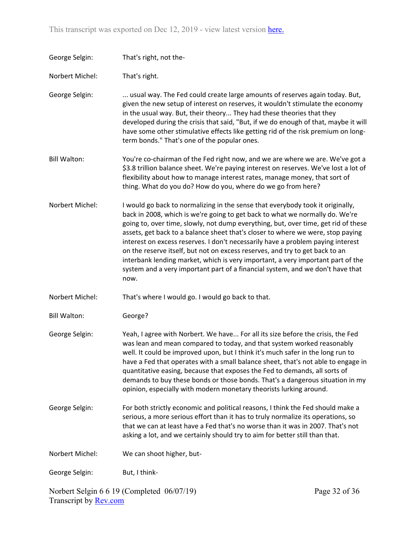| George Selgin:      | That's right, not the-                                                                                                                                                                                                                                                                                                                                                                                                                                                                                                                                                                                                                                                                  |               |
|---------------------|-----------------------------------------------------------------------------------------------------------------------------------------------------------------------------------------------------------------------------------------------------------------------------------------------------------------------------------------------------------------------------------------------------------------------------------------------------------------------------------------------------------------------------------------------------------------------------------------------------------------------------------------------------------------------------------------|---------------|
| Norbert Michel:     | That's right.                                                                                                                                                                                                                                                                                                                                                                                                                                                                                                                                                                                                                                                                           |               |
| George Selgin:      | usual way. The Fed could create large amounts of reserves again today. But,<br>given the new setup of interest on reserves, it wouldn't stimulate the economy<br>in the usual way. But, their theory They had these theories that they<br>developed during the crisis that said, "But, if we do enough of that, maybe it will<br>have some other stimulative effects like getting rid of the risk premium on long-<br>term bonds." That's one of the popular ones.                                                                                                                                                                                                                      |               |
| <b>Bill Walton:</b> | You're co-chairman of the Fed right now, and we are where we are. We've got a<br>\$3.8 trillion balance sheet. We're paying interest on reserves. We've lost a lot of<br>flexibility about how to manage interest rates, manage money, that sort of<br>thing. What do you do? How do you, where do we go from here?                                                                                                                                                                                                                                                                                                                                                                     |               |
| Norbert Michel:     | I would go back to normalizing in the sense that everybody took it originally,<br>back in 2008, which is we're going to get back to what we normally do. We're<br>going to, over time, slowly, not dump everything, but, over time, get rid of these<br>assets, get back to a balance sheet that's closer to where we were, stop paying<br>interest on excess reserves. I don't necessarily have a problem paying interest<br>on the reserve itself, but not on excess reserves, and try to get back to an<br>interbank lending market, which is very important, a very important part of the<br>system and a very important part of a financial system, and we don't have that<br>now. |               |
| Norbert Michel:     | That's where I would go. I would go back to that.                                                                                                                                                                                                                                                                                                                                                                                                                                                                                                                                                                                                                                       |               |
| <b>Bill Walton:</b> | George?                                                                                                                                                                                                                                                                                                                                                                                                                                                                                                                                                                                                                                                                                 |               |
| George Selgin:      | Yeah, I agree with Norbert. We have For all its size before the crisis, the Fed<br>was lean and mean compared to today, and that system worked reasonably<br>well. It could be improved upon, but I think it's much safer in the long run to<br>have a Fed that operates with a small balance sheet, that's not able to engage in<br>quantitative easing, because that exposes the Fed to demands, all sorts of<br>demands to buy these bonds or those bonds. That's a dangerous situation in my<br>opinion, especially with modern monetary theorists lurking around.                                                                                                                  |               |
| George Selgin:      | For both strictly economic and political reasons, I think the Fed should make a<br>serious, a more serious effort than it has to truly normalize its operations, so<br>that we can at least have a Fed that's no worse than it was in 2007. That's not<br>asking a lot, and we certainly should try to aim for better still than that.                                                                                                                                                                                                                                                                                                                                                  |               |
| Norbert Michel:     | We can shoot higher, but-                                                                                                                                                                                                                                                                                                                                                                                                                                                                                                                                                                                                                                                               |               |
| George Selgin:      | But, I think-                                                                                                                                                                                                                                                                                                                                                                                                                                                                                                                                                                                                                                                                           |               |
|                     | Norbert Selgin 6 6 19 (Completed 06/07/19)                                                                                                                                                                                                                                                                                                                                                                                                                                                                                                                                                                                                                                              | Page 32 of 36 |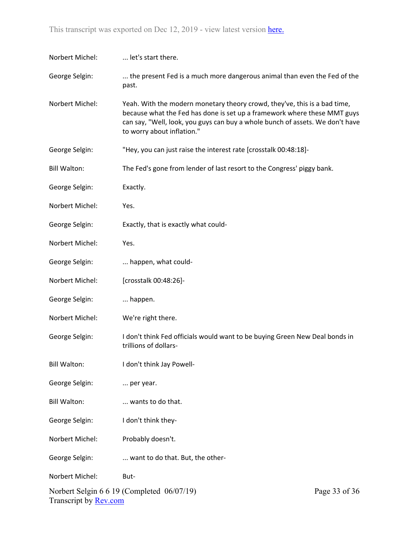This transcript was exported on Dec 12, 2019 - view latest version [here](https://www.rev.com/transcript-editor/Edit?token=21MjqSQ0DoZofWKzQ3sRZ20KOtVdQtBHKL1clWlW_t8gRKNBqDDX52etp622c1o42glTJM98QAQP1yRKSlUHdilUMmk&loadFrom=DocumentHeaderDeepLink).

| Norbert Michel:              | let's start there.                                                                                                                                                                                                                                                   |               |
|------------------------------|----------------------------------------------------------------------------------------------------------------------------------------------------------------------------------------------------------------------------------------------------------------------|---------------|
| George Selgin:               | the present Fed is a much more dangerous animal than even the Fed of the<br>past.                                                                                                                                                                                    |               |
| Norbert Michel:              | Yeah. With the modern monetary theory crowd, they've, this is a bad time,<br>because what the Fed has done is set up a framework where these MMT guys<br>can say, "Well, look, you guys can buy a whole bunch of assets. We don't have<br>to worry about inflation." |               |
| George Selgin:               | "Hey, you can just raise the interest rate [crosstalk 00:48:18]-                                                                                                                                                                                                     |               |
| <b>Bill Walton:</b>          | The Fed's gone from lender of last resort to the Congress' piggy bank.                                                                                                                                                                                               |               |
| George Selgin:               | Exactly.                                                                                                                                                                                                                                                             |               |
| Norbert Michel:              | Yes.                                                                                                                                                                                                                                                                 |               |
| George Selgin:               | Exactly, that is exactly what could-                                                                                                                                                                                                                                 |               |
| Norbert Michel:              | Yes.                                                                                                                                                                                                                                                                 |               |
| George Selgin:               | happen, what could-                                                                                                                                                                                                                                                  |               |
| Norbert Michel:              | [crosstalk 00:48:26]-                                                                                                                                                                                                                                                |               |
| George Selgin:               | happen.                                                                                                                                                                                                                                                              |               |
| Norbert Michel:              | We're right there.                                                                                                                                                                                                                                                   |               |
| George Selgin:               | I don't think Fed officials would want to be buying Green New Deal bonds in<br>trillions of dollars-                                                                                                                                                                 |               |
| <b>Bill Walton:</b>          | I don't think Jay Powell-                                                                                                                                                                                                                                            |               |
| George Selgin:               | per year.                                                                                                                                                                                                                                                            |               |
| <b>Bill Walton:</b>          | wants to do that.                                                                                                                                                                                                                                                    |               |
| George Selgin:               | I don't think they-                                                                                                                                                                                                                                                  |               |
| Norbert Michel:              | Probably doesn't.                                                                                                                                                                                                                                                    |               |
| George Selgin:               | want to do that. But, the other-                                                                                                                                                                                                                                     |               |
| Norbert Michel:              | But-                                                                                                                                                                                                                                                                 |               |
| Transcript by <b>Rev.com</b> | Norbert Selgin 6 6 19 (Completed 06/07/19)                                                                                                                                                                                                                           | Page 33 of 36 |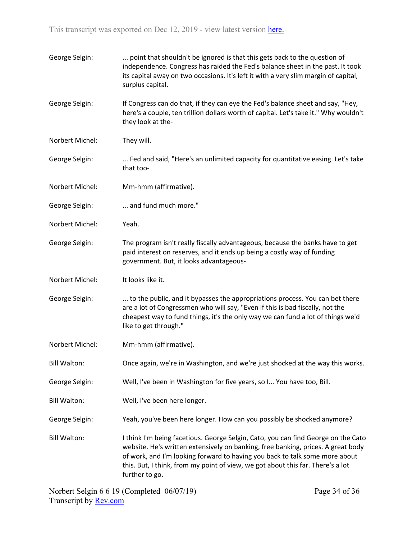| George Selgin:      | point that shouldn't be ignored is that this gets back to the question of<br>independence. Congress has raided the Fed's balance sheet in the past. It took<br>its capital away on two occasions. It's left it with a very slim margin of capital,<br>surplus capital.                                                                                    |
|---------------------|-----------------------------------------------------------------------------------------------------------------------------------------------------------------------------------------------------------------------------------------------------------------------------------------------------------------------------------------------------------|
| George Selgin:      | If Congress can do that, if they can eye the Fed's balance sheet and say, "Hey,<br>here's a couple, ten trillion dollars worth of capital. Let's take it." Why wouldn't<br>they look at the-                                                                                                                                                              |
| Norbert Michel:     | They will.                                                                                                                                                                                                                                                                                                                                                |
| George Selgin:      | Fed and said, "Here's an unlimited capacity for quantitative easing. Let's take<br>that too-                                                                                                                                                                                                                                                              |
| Norbert Michel:     | Mm-hmm (affirmative).                                                                                                                                                                                                                                                                                                                                     |
| George Selgin:      | and fund much more."                                                                                                                                                                                                                                                                                                                                      |
| Norbert Michel:     | Yeah.                                                                                                                                                                                                                                                                                                                                                     |
| George Selgin:      | The program isn't really fiscally advantageous, because the banks have to get<br>paid interest on reserves, and it ends up being a costly way of funding<br>government. But, it looks advantageous-                                                                                                                                                       |
| Norbert Michel:     | It looks like it.                                                                                                                                                                                                                                                                                                                                         |
| George Selgin:      | to the public, and it bypasses the appropriations process. You can bet there<br>are a lot of Congressmen who will say, "Even if this is bad fiscally, not the<br>cheapest way to fund things, it's the only way we can fund a lot of things we'd<br>like to get through."                                                                                 |
| Norbert Michel:     | Mm-hmm (affirmative).                                                                                                                                                                                                                                                                                                                                     |
| <b>Bill Walton:</b> | Once again, we're in Washington, and we're just shocked at the way this works.                                                                                                                                                                                                                                                                            |
| George Selgin:      | Well, I've been in Washington for five years, so I You have too, Bill.                                                                                                                                                                                                                                                                                    |
| <b>Bill Walton:</b> | Well, I've been here longer.                                                                                                                                                                                                                                                                                                                              |
| George Selgin:      | Yeah, you've been here longer. How can you possibly be shocked anymore?                                                                                                                                                                                                                                                                                   |
| <b>Bill Walton:</b> | I think I'm being facetious. George Selgin, Cato, you can find George on the Cato<br>website. He's written extensively on banking, free banking, prices. A great body<br>of work, and I'm looking forward to having you back to talk some more about<br>this. But, I think, from my point of view, we got about this far. There's a lot<br>further to go. |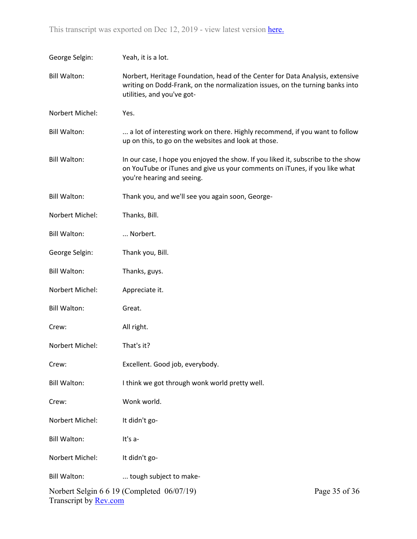| George Selgin:        | Yeah, it is a lot.                                                                                                                                                                           |               |
|-----------------------|----------------------------------------------------------------------------------------------------------------------------------------------------------------------------------------------|---------------|
| <b>Bill Walton:</b>   | Norbert, Heritage Foundation, head of the Center for Data Analysis, extensive<br>writing on Dodd-Frank, on the normalization issues, on the turning banks into<br>utilities, and you've got- |               |
| Norbert Michel:       | Yes.                                                                                                                                                                                         |               |
| <b>Bill Walton:</b>   | a lot of interesting work on there. Highly recommend, if you want to follow<br>up on this, to go on the websites and look at those.                                                          |               |
| <b>Bill Walton:</b>   | In our case, I hope you enjoyed the show. If you liked it, subscribe to the show<br>on YouTube or iTunes and give us your comments on iTunes, if you like what<br>you're hearing and seeing. |               |
| <b>Bill Walton:</b>   | Thank you, and we'll see you again soon, George-                                                                                                                                             |               |
| Norbert Michel:       | Thanks, Bill.                                                                                                                                                                                |               |
| <b>Bill Walton:</b>   | Norbert.                                                                                                                                                                                     |               |
| George Selgin:        | Thank you, Bill.                                                                                                                                                                             |               |
| <b>Bill Walton:</b>   | Thanks, guys.                                                                                                                                                                                |               |
| Norbert Michel:       | Appreciate it.                                                                                                                                                                               |               |
| <b>Bill Walton:</b>   | Great.                                                                                                                                                                                       |               |
| Crew:                 | All right.                                                                                                                                                                                   |               |
| Norbert Michel:       | That's it?                                                                                                                                                                                   |               |
| Crew:                 | Excellent. Good job, everybody.                                                                                                                                                              |               |
| <b>Bill Walton:</b>   | I think we got through wonk world pretty well.                                                                                                                                               |               |
| Crew:                 | Wonk world.                                                                                                                                                                                  |               |
| Norbert Michel:       | It didn't go-                                                                                                                                                                                |               |
| <b>Bill Walton:</b>   | It's a-                                                                                                                                                                                      |               |
| Norbert Michel:       | It didn't go-                                                                                                                                                                                |               |
| <b>Bill Walton:</b>   | tough subject to make-                                                                                                                                                                       |               |
| Transcript by Rev.com | Norbert Selgin 6 6 19 (Completed 06/07/19)                                                                                                                                                   | Page 35 of 36 |